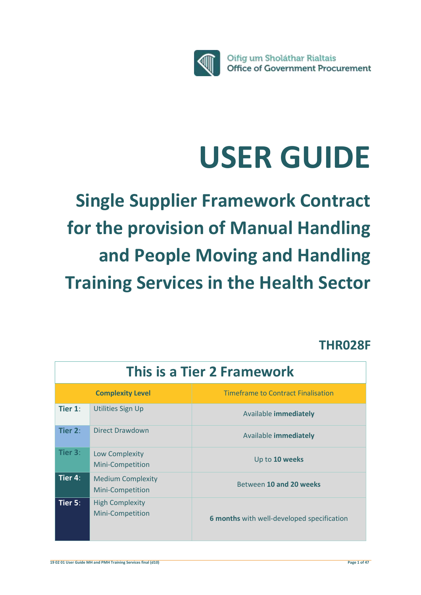

# **USER GUIDE**

**Single Supplier Framework Contract for the provision of Manual Handling and People Moving and Handling Training Services in the Health Sector**

# **THR028F**

| This is a Tier 2 Framework |                                              |                                            |
|----------------------------|----------------------------------------------|--------------------------------------------|
|                            | <b>Complexity Level</b>                      | <b>Timeframe to Contract Finalisation</b>  |
| Tier $1$ :                 | <b>Utilities Sign Up</b>                     | Available <b>immediately</b>               |
| Tier $2:$                  | <b>Direct Drawdown</b>                       | Available <b>immediately</b>               |
| Tier $3:$                  | Low Complexity<br>Mini-Competition           | Up to 10 weeks                             |
| Tier $4$ :                 | <b>Medium Complexity</b><br>Mini-Competition | Between 10 and 20 weeks                    |
| Tier $5:$                  | <b>High Complexity</b><br>Mini-Competition   | 6 months with well-developed specification |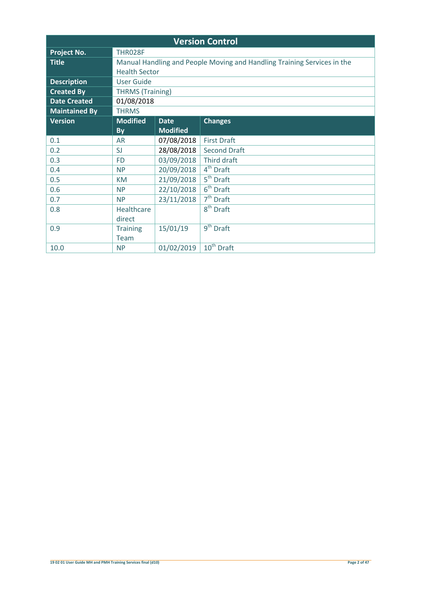| <b>Version Control</b> |                         |                 |                                                                         |
|------------------------|-------------------------|-----------------|-------------------------------------------------------------------------|
| <b>Project No.</b>     | <b>THR028F</b>          |                 |                                                                         |
| <b>Title</b>           |                         |                 | Manual Handling and People Moving and Handling Training Services in the |
|                        | <b>Health Sector</b>    |                 |                                                                         |
| <b>Description</b>     | <b>User Guide</b>       |                 |                                                                         |
| <b>Created By</b>      | <b>THRMS (Training)</b> |                 |                                                                         |
| <b>Date Created</b>    | 01/08/2018              |                 |                                                                         |
| <b>Maintained By</b>   | <b>THRMS</b>            |                 |                                                                         |
| <b>Version</b>         | <b>Modified</b>         | <b>Date</b>     | <b>Changes</b>                                                          |
|                        | By                      | <b>Modified</b> |                                                                         |
| 0.1                    | <b>AR</b>               | 07/08/2018      | <b>First Draft</b>                                                      |
| 0.2                    | SJ                      | 28/08/2018      | <b>Second Draft</b>                                                     |
| 0.3                    | <b>FD</b>               | 03/09/2018      | Third draft                                                             |
| 0.4                    | <b>NP</b>               | 20/09/2018      | 4 <sup>th</sup> Draft                                                   |
| 0.5                    | <b>KM</b>               | 21/09/2018      | 5 <sup>th</sup> Draft                                                   |
| 0.6                    | <b>NP</b>               | 22/10/2018      | $6th$ Draft                                                             |
| 0.7                    | <b>NP</b>               | 23/11/2018      | 7 <sup>th</sup> Draft                                                   |
| 0.8                    | Healthcare              |                 | $8th$ Draft                                                             |
|                        | direct                  |                 |                                                                         |
| 0.9                    | <b>Training</b>         | 15/01/19        | $\overline{9}^{th}$ Draft                                               |
|                        | Team                    |                 |                                                                         |
| 10.0                   | <b>NP</b>               | 01/02/2019      | 10 <sup>th</sup> Draft                                                  |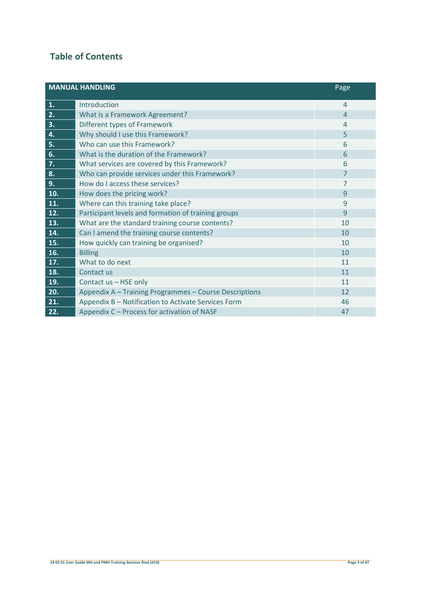# **Table of Contents**

| <b>MANUAL HANDLING</b> |                                                        | Page           |
|------------------------|--------------------------------------------------------|----------------|
| 1.                     | Introduction                                           | $\overline{4}$ |
| 2.                     | What is a Framework Agreement?                         | $\overline{4}$ |
| 3.                     | Different types of Framework                           | $\overline{4}$ |
| 4.                     | Why should I use this Framework?                       | 5              |
| 5.                     | Who can use this Framework?                            | 6              |
| 6.                     | What is the duration of the Framework?                 | 6              |
| 7.                     | What services are covered by this Framework?           | 6              |
| 8.                     | Who can provide services under this Framework?         | $\overline{7}$ |
| 9.                     | How do I access these services?                        | 7              |
| 10.                    | How does the pricing work?                             | 9              |
| 11.                    | Where can this training take place?                    | 9              |
| 12.                    | Participant levels and formation of training groups    | 9              |
| 13.                    | What are the standard training course contents?        | 10             |
| 14.                    | Can I amend the training course contents?              | 10             |
| 15.                    | How quickly can training be organised?                 | 10             |
| 16.                    | <b>Billing</b>                                         | 10             |
| 17.                    | What to do next                                        | 11             |
| 18.                    | Contact us                                             | 11             |
| 19.                    | Contact us - HSE only                                  | 11             |
| 20.                    | Appendix A - Training Programmes - Course Descriptions | 12             |
| 21.                    | Appendix B - Notification to Activate Services Form    | 46             |
| 22.                    | Appendix C - Process for activation of NASF            | 47             |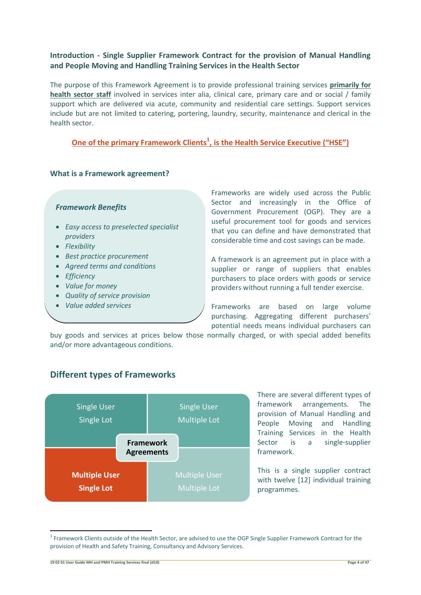### **Introduction - Single Supplier Framework Contract for the provision of Manual Handling and People Moving and Handling Training Services in the Health Sector**

The purpose of this Framework Agreement is to provide professional training services **primarily for health sector staff** involved in services inter alia, clinical care, primary care and or social / family support which are delivered via acute, community and residential care settings. Support services include but are not limited to catering, portering, laundry, security, maintenance and clerical in the health sector.

# **One of the primary Framework Clients<sup>1</sup> , is the Health Service Executive ("HSE")**

### **What is a Framework agreement?**

### *Framework Benefits*

- *Easy access to preselected specialist providers*
- *Flexibility*
- *Best practice procurement*
- *Agreed terms and conditions*
- *Efficiency*
- *Value for money*
- *Quality of service provision*
- *Value added services*

Frameworks are widely used across the Public Sector and increasingly in the Office of Government Procurement (OGP). They are a useful procurement tool for goods and services that you can define and have demonstrated that considerable time and cost savings can be made.

A framework is an agreement put in place with a supplier or range of suppliers that enables purchasers to place orders with goods or service providers without running a full tender exercise.

Frameworks are based on large volume purchasing. Aggregating different purchasers' potential needs means individual purchasers can

buy goods and services at prices below those normally charged, or with special added benefits and/or more advantageous conditions.



# **Different types of Frameworks**

There are several different types of framework arrangements. The provision of Manual Handling and People Moving and Handling Training Services in the Health Sector is a single-supplier framework.

This is a single supplier contract with twelve [12] individual training programmes.

**19 02 01 User Guide MH and PMH Training Services final (d10) Page 4 of 47**

 $\overline{a}$ 

 $1$  Framework Clients outside of the Health Sector, are advised to use the OGP Single Supplier Framework Contract for the provision of Health and Safety Training, Consultancy and Advisory Services.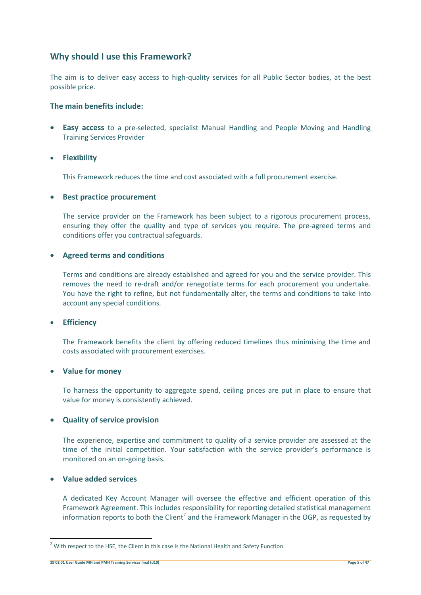# **Why should I use this Framework?**

The aim is to deliver easy access to high-quality services for all Public Sector bodies, at the best possible price.

### **The main benefits include:**

 **Easy access** to a pre-selected, specialist Manual Handling and People Moving and Handling Training Services Provider

### **Flexibility**

This Framework reduces the time and cost associated with a full procurement exercise.

### **•** Best practice procurement

The service provider on the Framework has been subject to a rigorous procurement process, ensuring they offer the quality and type of services you require. The pre-agreed terms and conditions offer you contractual safeguards.

### **Agreed terms and conditions**

Terms and conditions are already established and agreed for you and the service provider. This removes the need to re-draft and/or renegotiate terms for each procurement you undertake. You have the right to refine, but not fundamentally alter, the terms and conditions to take into account any special conditions.

### **Efficiency**

The Framework benefits the client by offering reduced timelines thus minimising the time and costs associated with procurement exercises.

### **Value for money**

To harness the opportunity to aggregate spend, ceiling prices are put in place to ensure that value for money is consistently achieved.

### **Quality of service provision**

The experience, expertise and commitment to quality of a service provider are assessed at the time of the initial competition. Your satisfaction with the service provider's performance is monitored on an on-going basis.

### **Value added services**

 $\overline{\phantom{a}}$ 

A dedicated Key Account Manager will oversee the effective and efficient operation of this Framework Agreement. This includes responsibility for reporting detailed statistical management information reports to both the Client<sup>2</sup> and the Framework Manager in the OGP, as requested by

 $2$  With respect to the HSE, the Client in this case is the National Health and Safety Function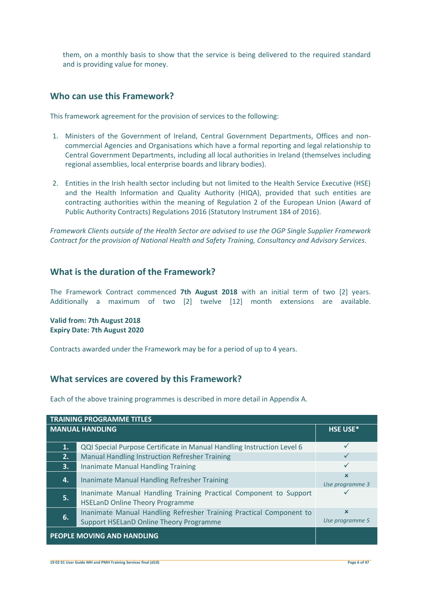them, on a monthly basis to show that the service is being delivered to the required standard and is providing value for money.

### **Who can use this Framework?**

This framework agreement for the provision of services to the following:

- 1. Ministers of the Government of Ireland, Central Government Departments, Offices and noncommercial Agencies and Organisations which have a formal reporting and legal relationship to Central Government Departments, including all local authorities in Ireland (themselves including regional assemblies, local enterprise boards and library bodies).
- 2. Entities in the Irish health sector including but not limited to the Health Service Executive (HSE) and the Health Information and Quality Authority (HIQA), provided that such entities are contracting authorities within the meaning of Regulation 2 of the European Union (Award of Public Authority Contracts) Regulations 2016 (Statutory Instrument 184 of 2016).

*Framework Clients outside of the Health Sector are advised to use the OGP Single Supplier Framework Contract for the provision of National Health and Safety Training, Consultancy and Advisory Services.*

# **What is the duration of the Framework?**

The Framework Contract commenced **7th August 2018** with an initial term of two [2] years. Additionally a maximum of two [2] twelve [12] month extensions are available.

**Valid from: 7th August 2018 Expiry Date: 7th August 2020**

Contracts awarded under the Framework may be for a period of up to 4 years.

### **What services are covered by this Framework?**

Each of the above training programmes is described in more detail in Appendix A.

| <b>TRAINING PROGRAMME TITLES</b>              |                                                                                                             |                 |
|-----------------------------------------------|-------------------------------------------------------------------------------------------------------------|-----------------|
| <b>MANUAL HANDLING</b>                        |                                                                                                             | HSE USE*        |
|                                               |                                                                                                             |                 |
| 1.                                            | QQI Special Purpose Certificate in Manual Handling Instruction Level 6                                      | ✓               |
| 2.                                            | Manual Handling Instruction Refresher Training                                                              |                 |
| 3.                                            | <b>Inanimate Manual Handling Training</b>                                                                   |                 |
| 4.                                            | Inanimate Manual Handling Refresher Training                                                                | $\mathbf x$     |
|                                               |                                                                                                             | Use programme 3 |
| 5.                                            | Inanimate Manual Handling Training Practical Component to Support<br><b>HSELanD Online Theory Programme</b> |                 |
|                                               | Inanimate Manual Handling Refresher Training Practical Component to                                         | $\mathbf x$     |
| 6.<br>Support HSELanD Online Theory Programme |                                                                                                             | Use programme 5 |
| PEOPLE MOVING AND HANDLING                    |                                                                                                             |                 |

**19 02 01 User Guide MH and PMH Training Services final (d10) Page 6 of 47**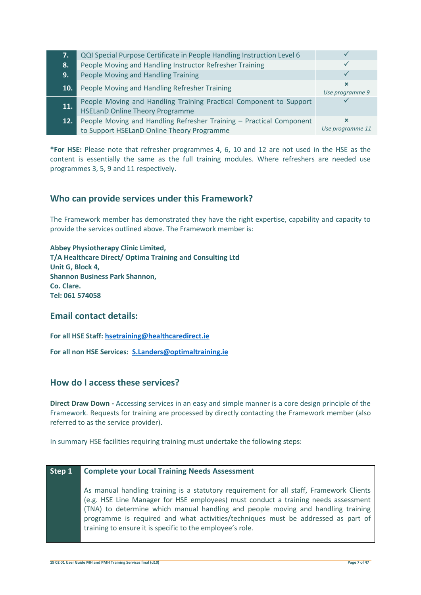| 7.             | QQI Special Purpose Certificate in People Handling Instruction Level 6                                            |                                |
|----------------|-------------------------------------------------------------------------------------------------------------------|--------------------------------|
| l8. .          | People Moving and Handling Instructor Refresher Training                                                          |                                |
| 9.             | People Moving and Handling Training                                                                               |                                |
| 10.            | People Moving and Handling Refresher Training                                                                     | $\mathbf x$<br>Use programme 9 |
| 11.            | People Moving and Handling Training Practical Component to Support<br><b>HSELanD Online Theory Programme</b>      |                                |
| $\mathbf{12.}$ | People Moving and Handling Refresher Training - Practical Component<br>to Support HSELanD Online Theory Programme | Use programme 11               |

**\*For HSE:** Please note that refresher programmes 4, 6, 10 and 12 are not used in the HSE as the content is essentially the same as the full training modules. Where refreshers are needed use programmes 3, 5, 9 and 11 respectively.

## **Who can provide services under this Framework?**

The Framework member has demonstrated they have the right expertise, capability and capacity to provide the services outlined above. The Framework member is:

**Abbey Physiotherapy Clinic Limited, T/A Healthcare Direct/ Optima Training and Consulting Ltd Unit G, Block 4, Shannon Business Park Shannon, Co. Clare. Tel: 061 574058**

### **Email contact details:**

**For all HSE Staff: [hsetraining@healthcaredirect.ie](mailto:hsetraining@healthcaredirect.ie)**

**For all non HSE Services: [S.Landers@optimaltraining.ie](mailto:S.Landers@optimaltraining.ie)**

### **How do I access these services?**

**Direct Draw Down -** Accessing services in an easy and simple manner is a core design principle of the Framework. Requests for training are processed by directly contacting the Framework member (also referred to as the service provider).

In summary HSE facilities requiring training must undertake the following steps:

### **Step 1 Complete your Local Training Needs Assessment**

As manual handling training is a statutory requirement for all staff, Framework Clients (e.g. HSE Line Manager for HSE employees) must conduct a training needs assessment (TNA) to determine which manual handling and people moving and handling training programme is required and what activities/techniques must be addressed as part of training to ensure it is specific to the employee's role.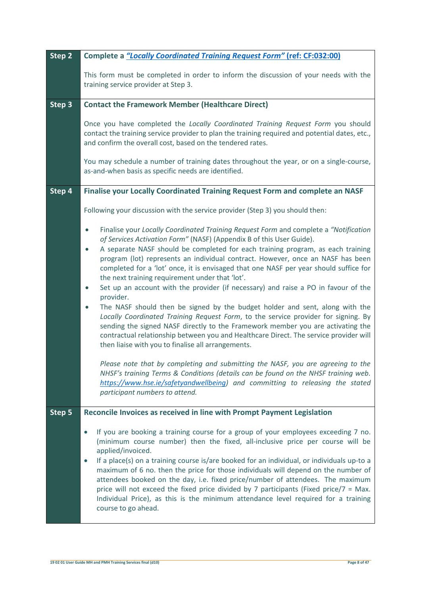| Step 2 | Complete a "Locally Coordinated Training Request Form" (ref: CF:032:00)                                                                                                                                                                                                                                                                                                                                                                                                                                                                                                                                                                                                                                                                                                                                                                                                                                                                                                                                                                                                                                                                                                                                                                                                                                                                    |
|--------|--------------------------------------------------------------------------------------------------------------------------------------------------------------------------------------------------------------------------------------------------------------------------------------------------------------------------------------------------------------------------------------------------------------------------------------------------------------------------------------------------------------------------------------------------------------------------------------------------------------------------------------------------------------------------------------------------------------------------------------------------------------------------------------------------------------------------------------------------------------------------------------------------------------------------------------------------------------------------------------------------------------------------------------------------------------------------------------------------------------------------------------------------------------------------------------------------------------------------------------------------------------------------------------------------------------------------------------------|
|        | This form must be completed in order to inform the discussion of your needs with the<br>training service provider at Step 3.                                                                                                                                                                                                                                                                                                                                                                                                                                                                                                                                                                                                                                                                                                                                                                                                                                                                                                                                                                                                                                                                                                                                                                                                               |
| Step 3 | <b>Contact the Framework Member (Healthcare Direct)</b>                                                                                                                                                                                                                                                                                                                                                                                                                                                                                                                                                                                                                                                                                                                                                                                                                                                                                                                                                                                                                                                                                                                                                                                                                                                                                    |
|        | Once you have completed the Locally Coordinated Training Request Form you should<br>contact the training service provider to plan the training required and potential dates, etc.,<br>and confirm the overall cost, based on the tendered rates.                                                                                                                                                                                                                                                                                                                                                                                                                                                                                                                                                                                                                                                                                                                                                                                                                                                                                                                                                                                                                                                                                           |
|        | You may schedule a number of training dates throughout the year, or on a single-course,<br>as-and-when basis as specific needs are identified.                                                                                                                                                                                                                                                                                                                                                                                                                                                                                                                                                                                                                                                                                                                                                                                                                                                                                                                                                                                                                                                                                                                                                                                             |
| Step 4 | Finalise your Locally Coordinated Training Request Form and complete an NASF                                                                                                                                                                                                                                                                                                                                                                                                                                                                                                                                                                                                                                                                                                                                                                                                                                                                                                                                                                                                                                                                                                                                                                                                                                                               |
|        | Following your discussion with the service provider (Step 3) you should then:                                                                                                                                                                                                                                                                                                                                                                                                                                                                                                                                                                                                                                                                                                                                                                                                                                                                                                                                                                                                                                                                                                                                                                                                                                                              |
|        | Finalise your Locally Coordinated Training Request Form and complete a "Notification"<br>$\bullet$<br>of Services Activation Form" (NASF) (Appendix B of this User Guide).<br>A separate NASF should be completed for each training program, as each training<br>$\bullet$<br>program (lot) represents an individual contract. However, once an NASF has been<br>completed for a 'lot' once, it is envisaged that one NASF per year should suffice for<br>the next training requirement under that 'lot'.<br>Set up an account with the provider (if necessary) and raise a PO in favour of the<br>$\bullet$<br>provider.<br>The NASF should then be signed by the budget holder and sent, along with the<br>$\bullet$<br>Locally Coordinated Training Request Form, to the service provider for signing. By<br>sending the signed NASF directly to the Framework member you are activating the<br>contractual relationship between you and Healthcare Direct. The service provider will<br>then liaise with you to finalise all arrangements.<br>Please note that by completing and submitting the NASF, you are agreeing to the<br>NHSF's training Terms & Conditions (details can be found on the NHSF training web.<br>https://www.hse.ie/safetyandwellbeing) and committing to releasing the stated<br>participant numbers to attend. |
| Step 5 | Reconcile Invoices as received in line with Prompt Payment Legislation                                                                                                                                                                                                                                                                                                                                                                                                                                                                                                                                                                                                                                                                                                                                                                                                                                                                                                                                                                                                                                                                                                                                                                                                                                                                     |
|        | If you are booking a training course for a group of your employees exceeding 7 no.<br>$\bullet$<br>(minimum course number) then the fixed, all-inclusive price per course will be<br>applied/invoiced.<br>If a place(s) on a training course is/are booked for an individual, or individuals up-to a<br>$\bullet$<br>maximum of 6 no. then the price for those individuals will depend on the number of<br>attendees booked on the day, i.e. fixed price/number of attendees. The maximum<br>price will not exceed the fixed price divided by 7 participants (Fixed price/ $7 = Max$ .<br>Individual Price), as this is the minimum attendance level required for a training<br>course to go ahead.                                                                                                                                                                                                                                                                                                                                                                                                                                                                                                                                                                                                                                        |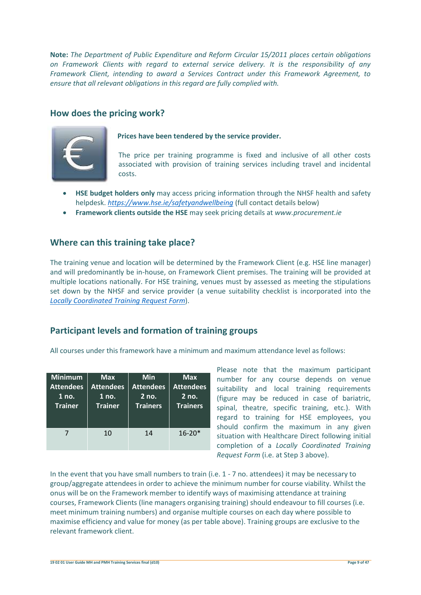**Note:** *The Department of Public Expenditure and Reform Circular 15/2011 places certain obligations on Framework Clients with regard to external service delivery. It is the responsibility of any Framework Client, intending to award a Services Contract under this Framework Agreement, to ensure that all relevant obligations in this regard are fully complied with.* 

# **How does the pricing work?**



### **Prices have been tendered by the service provider.**

The price per training programme is fixed and inclusive of all other costs associated with provision of training services including travel and incidental costs.

- **HSE budget holders only** may access pricing information through the NHSF health and safety helpdesk. *<https://www.hse.ie/safetyandwellbeing>* (full contact details below)
- **Framework clients outside the HSE** may seek pricing details at *[www.procurement.ie](http://www.procurement.ie/)*

## **Where can this training take place?**

The training venue and location will be determined by the Framework Client (e.g. HSE line manager) and will predominantly be in-house, on Framework Client premises. The training will be provided at multiple locations nationally. For HSE training, venues must by assessed as meeting the stipulations set down by the NHSF and service provider (a venue suitability checklist is incorporated into the *[Locally Coordinated Training Request Form](https://www.hse.ie/safetyandwellbeing)*).

# **Participant levels and formation of training groups**

All courses under this framework have a minimum and maximum attendance level as follows:

| <b>Minimum</b>   | <b>Max</b>       | Min              | Max              |
|------------------|------------------|------------------|------------------|
| <b>Attendees</b> | <b>Attendees</b> | <b>Attendees</b> | <b>Attendees</b> |
| 1 no.            | 1 no.            | $2$ no.          | $2$ no.          |
| <b>Trainer</b>   | <b>Trainer</b>   | <b>Trainers</b>  | <b>Trainers</b>  |
|                  | 10               | 14               | $16 - 20*$       |

Please note that the maximum participant number for any course depends on venue suitability and local training requirements (figure may be reduced in case of bariatric, spinal, theatre, specific training, etc.). With regard to training for HSE employees, you should confirm the maximum in any given situation with Healthcare Direct following initial completion of a *Locally Coordinated Training Request Form* (i.e. at Step 3 above).

In the event that you have small numbers to train (i.e. 1 - 7 no. attendees) it may be necessary to group/aggregate attendees in order to achieve the minimum number for course viability. Whilst the onus will be on the Framework member to identify ways of maximising attendance at training courses, Framework Clients (line managers organising training) should endeavour to fill courses (i.e. meet minimum training numbers) and organise multiple courses on each day where possible to maximise efficiency and value for money (as per table above). Training groups are exclusive to the relevant framework client.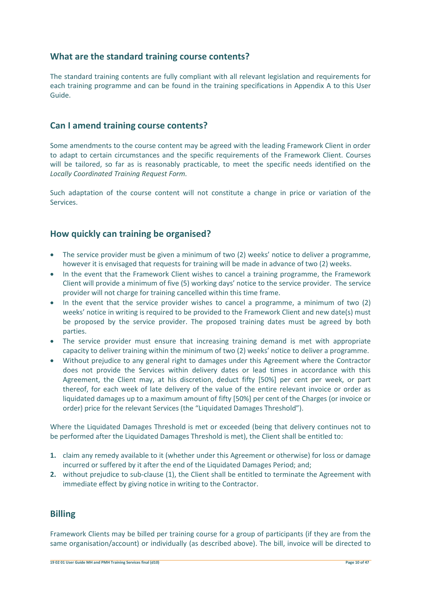## **What are the standard training course contents?**

The standard training contents are fully compliant with all relevant legislation and requirements for each training programme and can be found in the training specifications in Appendix A to this User Guide.

### **Can I amend training course contents?**

Some amendments to the course content may be agreed with the leading Framework Client in order to adapt to certain circumstances and the specific requirements of the Framework Client. Courses will be tailored, so far as is reasonably practicable, to meet the specific needs identified on the *Locally Coordinated Training Request Form.*

Such adaptation of the course content will not constitute a change in price or variation of the Services.

### **How quickly can training be organised?**

- The service provider must be given a minimum of two (2) weeks' notice to deliver a programme, however it is envisaged that requests for training will be made in advance of two (2) weeks.
- In the event that the Framework Client wishes to cancel a training programme, the Framework Client will provide a minimum of five (5) working days' notice to the service provider. The service provider will not charge for training cancelled within this time frame.
- In the event that the service provider wishes to cancel a programme, a minimum of two (2) weeks' notice in writing is required to be provided to the Framework Client and new date(s) must be proposed by the service provider. The proposed training dates must be agreed by both parties.
- The service provider must ensure that increasing training demand is met with appropriate capacity to deliver training within the minimum of two (2) weeks' notice to deliver a programme.
- Without prejudice to any general right to damages under this Agreement where the Contractor does not provide the Services within delivery dates or lead times in accordance with this Agreement, the Client may, at his discretion, deduct fifty [50%] per cent per week, or part thereof, for each week of late delivery of the value of the entire relevant invoice or order as liquidated damages up to a maximum amount of fifty [50%] per cent of the Charges (or invoice or order) price for the relevant Services (the "Liquidated Damages Threshold").

Where the Liquidated Damages Threshold is met or exceeded (being that delivery continues not to be performed after the Liquidated Damages Threshold is met), the Client shall be entitled to:

- **1.** claim any remedy available to it (whether under this Agreement or otherwise) for loss or damage incurred or suffered by it after the end of the Liquidated Damages Period; and;
- **2.** without prejudice to sub-clause (1), the Client shall be entitled to terminate the Agreement with immediate effect by giving notice in writing to the Contractor.

### **Billing**

Framework Clients may be billed per training course for a group of participants (if they are from the same organisation/account) or individually (as described above). The bill, invoice will be directed to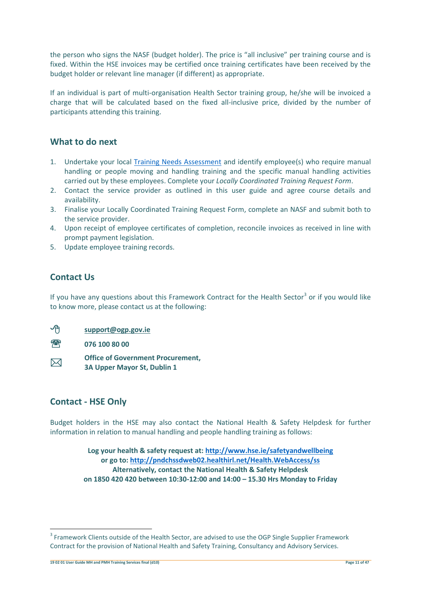the person who signs the NASF (budget holder). The price is "all inclusive" per training course and is fixed. Within the HSE invoices may be certified once training certificates have been received by the budget holder or relevant line manager (if different) as appropriate.

If an individual is part of multi-organisation Health Sector training group, he/she will be invoiced a charge that will be calculated based on the fixed all-inclusive price, divided by the number of participants attending this training.

### **What to do next**

- 1. Undertake your local [Training Needs Assessment](file://///PCRKFPRDFS023.healthirl.net/NHSF) and identify employee(s) who require manual handling or people moving and handling training and the specific manual handling activities carried out by these employees. Complete your *Locally Coordinated Training Request Form*.
- 2. Contact the service provider as outlined in this user guide and agree course details and availability.
- 3. Finalise your Locally Coordinated Training Request Form, complete an NASF and submit both to the service provider.
- 4. Upon receipt of employee certificates of completion, reconcile invoices as received in line with prompt payment legislation.
- 5. Update employee training records.

# **Contact Us**

If you have any questions about this Framework Contract for the Health Sector<sup>3</sup> or if you would like to know more, please contact us at the following:

| ∽∩          | support@ogp.gov.ie                                                      |
|-------------|-------------------------------------------------------------------------|
| yhy         | 076 100 80 00                                                           |
| $\boxtimes$ | <b>Office of Government Procurement,</b><br>3A Upper Mayor St, Dublin 1 |

### **Contact - HSE Only**

Budget holders in the HSE may also contact the National Health & Safety Helpdesk for further information in relation to manual handling and people handling training as follows:

> **Log your health & safety request at:<http://www.hse.ie/safetyandwellbeing> or go to:<http://pndchssdweb02.healthirl.net/Health.WebAccess/ss> Alternatively, contact the National Health & Safety Helpdesk on 1850 420 420 between 10:30-12:00 and 14:00 – 15.30 Hrs Monday to Friday**

 $\overline{\phantom{a}}$ 

 $3$  Framework Clients outside of the Health Sector, are advised to use the OGP Single Supplier Framework Contract for the provision of National Health and Safety Training, Consultancy and Advisory Services.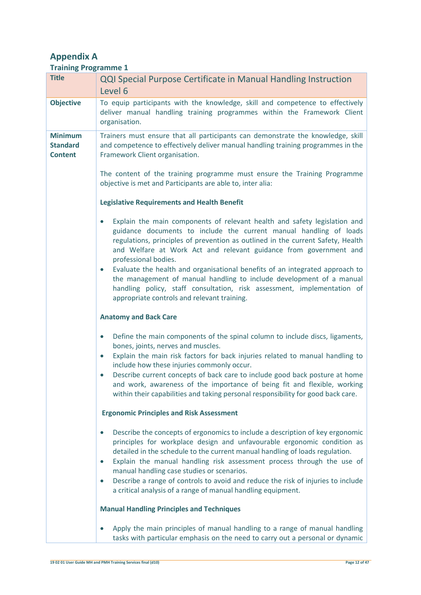# **Appendix A**

| <b>Training Programme 1</b>                         |                                                                                                                                                                                                                                                                                                                                              |
|-----------------------------------------------------|----------------------------------------------------------------------------------------------------------------------------------------------------------------------------------------------------------------------------------------------------------------------------------------------------------------------------------------------|
| <b>Title</b>                                        | <b>QQI Special Purpose Certificate in Manual Handling Instruction</b>                                                                                                                                                                                                                                                                        |
|                                                     | Level 6                                                                                                                                                                                                                                                                                                                                      |
| <b>Objective</b>                                    | To equip participants with the knowledge, skill and competence to effectively<br>deliver manual handling training programmes within the Framework Client<br>organisation.                                                                                                                                                                    |
| <b>Minimum</b><br><b>Standard</b><br><b>Content</b> | Trainers must ensure that all participants can demonstrate the knowledge, skill<br>and competence to effectively deliver manual handling training programmes in the<br>Framework Client organisation.                                                                                                                                        |
|                                                     | The content of the training programme must ensure the Training Programme<br>objective is met and Participants are able to, inter alia:                                                                                                                                                                                                       |
|                                                     | <b>Legislative Requirements and Health Benefit</b>                                                                                                                                                                                                                                                                                           |
|                                                     | Explain the main components of relevant health and safety legislation and<br>$\bullet$<br>guidance documents to include the current manual handling of loads<br>regulations, principles of prevention as outlined in the current Safety, Health<br>and Welfare at Work Act and relevant guidance from government and<br>professional bodies. |
|                                                     | Evaluate the health and organisational benefits of an integrated approach to<br>$\bullet$<br>the management of manual handling to include development of a manual<br>handling policy, staff consultation, risk assessment, implementation of<br>appropriate controls and relevant training.                                                  |
|                                                     | <b>Anatomy and Back Care</b>                                                                                                                                                                                                                                                                                                                 |
|                                                     | Define the main components of the spinal column to include discs, ligaments,<br>$\bullet$<br>bones, joints, nerves and muscles.<br>Explain the main risk factors for back injuries related to manual handling to<br>$\bullet$                                                                                                                |
|                                                     | include how these injuries commonly occur.                                                                                                                                                                                                                                                                                                   |
|                                                     | Describe current concepts of back care to include good back posture at home<br>$\bullet$<br>and work, awareness of the importance of being fit and flexible, working<br>within their capabilities and taking personal responsibility for good back care.                                                                                     |
|                                                     | <b>Ergonomic Principles and Risk Assessment</b>                                                                                                                                                                                                                                                                                              |
|                                                     | Describe the concepts of ergonomics to include a description of key ergonomic<br>$\bullet$<br>principles for workplace design and unfavourable ergonomic condition as<br>detailed in the schedule to the current manual handling of loads regulation.<br>Explain the manual handling risk assessment process through the use of<br>$\bullet$ |
|                                                     | manual handling case studies or scenarios.<br>Describe a range of controls to avoid and reduce the risk of injuries to include<br>$\bullet$<br>a critical analysis of a range of manual handling equipment.                                                                                                                                  |
|                                                     | <b>Manual Handling Principles and Techniques</b>                                                                                                                                                                                                                                                                                             |
|                                                     | Apply the main principles of manual handling to a range of manual handling<br>$\bullet$<br>tasks with particular emphasis on the need to carry out a personal or dynamic                                                                                                                                                                     |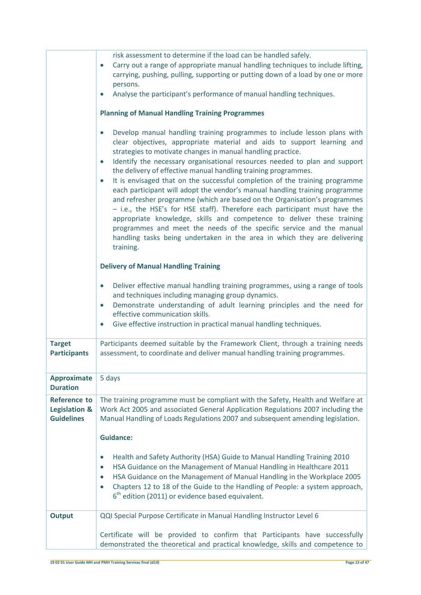|                                                                      | risk assessment to determine if the load can be handled safely.<br>Carry out a range of appropriate manual handling techniques to include lifting,<br>$\bullet$<br>carrying, pushing, pulling, supporting or putting down of a load by one or more<br>persons.<br>Analyse the participant's performance of manual handling techniques.<br><b>Planning of Manual Handling Training Programmes</b><br>Develop manual handling training programmes to include lesson plans with<br>$\bullet$<br>clear objectives, appropriate material and aids to support learning and<br>strategies to motivate changes in manual handling practice.<br>Identify the necessary organisational resources needed to plan and support<br>$\bullet$<br>the delivery of effective manual handling training programmes.<br>It is envisaged that on the successful completion of the training programme<br>each participant will adopt the vendor's manual handling training programme<br>and refresher programme (which are based on the Organisation's programmes<br>- i.e., the HSE's for HSE staff). Therefore each participant must have the<br>appropriate knowledge, skills and competence to deliver these training<br>programmes and meet the needs of the specific service and the manual<br>handling tasks being undertaken in the area in which they are delivering<br>training.<br><b>Delivery of Manual Handling Training</b><br>Deliver effective manual handling training programmes, using a range of tools<br>$\bullet$<br>and techniques including managing group dynamics.<br>Demonstrate understanding of adult learning principles and the need for<br>$\bullet$<br>effective communication skills.<br>Give effective instruction in practical manual handling techniques.<br>$\bullet$ |
|----------------------------------------------------------------------|---------------------------------------------------------------------------------------------------------------------------------------------------------------------------------------------------------------------------------------------------------------------------------------------------------------------------------------------------------------------------------------------------------------------------------------------------------------------------------------------------------------------------------------------------------------------------------------------------------------------------------------------------------------------------------------------------------------------------------------------------------------------------------------------------------------------------------------------------------------------------------------------------------------------------------------------------------------------------------------------------------------------------------------------------------------------------------------------------------------------------------------------------------------------------------------------------------------------------------------------------------------------------------------------------------------------------------------------------------------------------------------------------------------------------------------------------------------------------------------------------------------------------------------------------------------------------------------------------------------------------------------------------------------------------------------------------------------------------------------------------------------------------------------|
| <b>Target</b><br><b>Participants</b>                                 | Participants deemed suitable by the Framework Client, through a training needs<br>assessment, to coordinate and deliver manual handling training programmes.                                                                                                                                                                                                                                                                                                                                                                                                                                                                                                                                                                                                                                                                                                                                                                                                                                                                                                                                                                                                                                                                                                                                                                                                                                                                                                                                                                                                                                                                                                                                                                                                                          |
| <b>Approximate</b><br><b>Duration</b>                                | 5 days                                                                                                                                                                                                                                                                                                                                                                                                                                                                                                                                                                                                                                                                                                                                                                                                                                                                                                                                                                                                                                                                                                                                                                                                                                                                                                                                                                                                                                                                                                                                                                                                                                                                                                                                                                                |
| <b>Reference to</b><br><b>Legislation &amp;</b><br><b>Guidelines</b> | The training programme must be compliant with the Safety, Health and Welfare at<br>Work Act 2005 and associated General Application Regulations 2007 including the<br>Manual Handling of Loads Regulations 2007 and subsequent amending legislation.<br><b>Guidance:</b><br>Health and Safety Authority (HSA) Guide to Manual Handling Training 2010<br>$\bullet$<br>HSA Guidance on the Management of Manual Handling in Healthcare 2011<br>$\bullet$<br>HSA Guidance on the Management of Manual Handling in the Workplace 2005<br>$\bullet$<br>Chapters 12 to 18 of the Guide to the Handling of People: a system approach,<br>$\bullet$                                                                                                                                                                                                                                                                                                                                                                                                                                                                                                                                                                                                                                                                                                                                                                                                                                                                                                                                                                                                                                                                                                                                           |
|                                                                      | $6th$ edition (2011) or evidence based equivalent.                                                                                                                                                                                                                                                                                                                                                                                                                                                                                                                                                                                                                                                                                                                                                                                                                                                                                                                                                                                                                                                                                                                                                                                                                                                                                                                                                                                                                                                                                                                                                                                                                                                                                                                                    |
| <b>Output</b>                                                        | QQI Special Purpose Certificate in Manual Handling Instructor Level 6                                                                                                                                                                                                                                                                                                                                                                                                                                                                                                                                                                                                                                                                                                                                                                                                                                                                                                                                                                                                                                                                                                                                                                                                                                                                                                                                                                                                                                                                                                                                                                                                                                                                                                                 |
|                                                                      | Certificate will be provided to confirm that Participants have successfully<br>demonstrated the theoretical and practical knowledge, skills and competence to                                                                                                                                                                                                                                                                                                                                                                                                                                                                                                                                                                                                                                                                                                                                                                                                                                                                                                                                                                                                                                                                                                                                                                                                                                                                                                                                                                                                                                                                                                                                                                                                                         |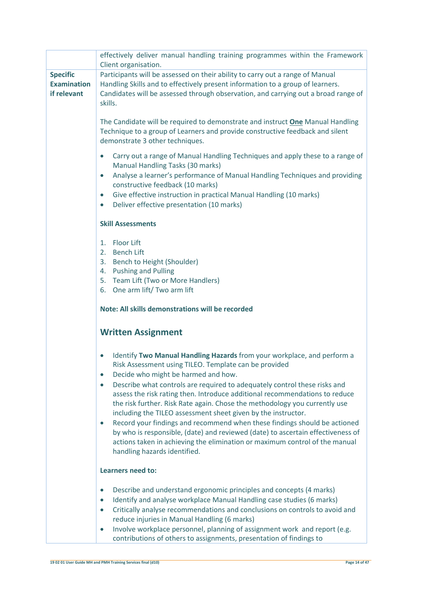|                                                      | effectively deliver manual handling training programmes within the Framework<br>Client organisation.                                                                                                                                                                                                                                                                                                                                                                                |
|------------------------------------------------------|-------------------------------------------------------------------------------------------------------------------------------------------------------------------------------------------------------------------------------------------------------------------------------------------------------------------------------------------------------------------------------------------------------------------------------------------------------------------------------------|
| <b>Specific</b><br><b>Examination</b><br>if relevant | Participants will be assessed on their ability to carry out a range of Manual<br>Handling Skills and to effectively present information to a group of learners.<br>Candidates will be assessed through observation, and carrying out a broad range of<br>skills.                                                                                                                                                                                                                    |
|                                                      | The Candidate will be required to demonstrate and instruct <b>One</b> Manual Handling<br>Technique to a group of Learners and provide constructive feedback and silent<br>demonstrate 3 other techniques.                                                                                                                                                                                                                                                                           |
|                                                      | Carry out a range of Manual Handling Techniques and apply these to a range of<br>$\bullet$<br>Manual Handling Tasks (30 marks)<br>Analyse a learner's performance of Manual Handling Techniques and providing<br>$\bullet$<br>constructive feedback (10 marks)<br>Give effective instruction in practical Manual Handling (10 marks)<br>$\bullet$<br>Deliver effective presentation (10 marks)<br>$\bullet$                                                                         |
|                                                      | <b>Skill Assessments</b>                                                                                                                                                                                                                                                                                                                                                                                                                                                            |
|                                                      | <b>Floor Lift</b><br>1.<br><b>Bench Lift</b><br>2.<br>Bench to Height (Shoulder)<br>3.<br><b>Pushing and Pulling</b><br>4.<br>Team Lift (Two or More Handlers)<br>5.<br>One arm lift/ Two arm lift<br>6.                                                                                                                                                                                                                                                                            |
|                                                      | Note: All skills demonstrations will be recorded                                                                                                                                                                                                                                                                                                                                                                                                                                    |
|                                                      | <b>Written Assignment</b>                                                                                                                                                                                                                                                                                                                                                                                                                                                           |
|                                                      | Identify Two Manual Handling Hazards from your workplace, and perform a<br>Risk Assessment using TILEO. Template can be provided<br>Decide who might be harmed and how.<br>$\bullet$<br>Describe what controls are required to adequately control these risks and<br>$\bullet$<br>assess the risk rating then. Introduce additional recommendations to reduce                                                                                                                       |
|                                                      | the risk further. Risk Rate again. Chose the methodology you currently use<br>including the TILEO assessment sheet given by the instructor.<br>Record your findings and recommend when these findings should be actioned<br>$\bullet$<br>by who is responsible, (date) and reviewed (date) to ascertain effectiveness of<br>actions taken in achieving the elimination or maximum control of the manual<br>handling hazards identified.                                             |
|                                                      | Learners need to:                                                                                                                                                                                                                                                                                                                                                                                                                                                                   |
|                                                      | Describe and understand ergonomic principles and concepts (4 marks)<br>$\bullet$<br>Identify and analyse workplace Manual Handling case studies (6 marks)<br>$\bullet$<br>Critically analyse recommendations and conclusions on controls to avoid and<br>$\bullet$<br>reduce injuries in Manual Handling (6 marks)<br>Involve workplace personnel, planning of assignment work and report (e.g.<br>$\bullet$<br>contributions of others to assignments, presentation of findings to |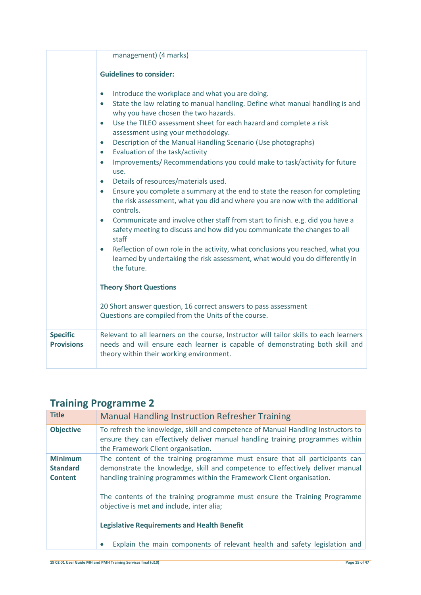|                                      | management) (4 marks)                                                                                                                                                                                                                                                                                                                                                                                                                                                                                                                                                                                                                                                                                                                                                                                                                                                                                                                                                                                                                                                                                                                                                                    |
|--------------------------------------|------------------------------------------------------------------------------------------------------------------------------------------------------------------------------------------------------------------------------------------------------------------------------------------------------------------------------------------------------------------------------------------------------------------------------------------------------------------------------------------------------------------------------------------------------------------------------------------------------------------------------------------------------------------------------------------------------------------------------------------------------------------------------------------------------------------------------------------------------------------------------------------------------------------------------------------------------------------------------------------------------------------------------------------------------------------------------------------------------------------------------------------------------------------------------------------|
|                                      | <b>Guidelines to consider:</b>                                                                                                                                                                                                                                                                                                                                                                                                                                                                                                                                                                                                                                                                                                                                                                                                                                                                                                                                                                                                                                                                                                                                                           |
|                                      | Introduce the workplace and what you are doing.<br>$\bullet$<br>State the law relating to manual handling. Define what manual handling is and<br>$\bullet$<br>why you have chosen the two hazards.<br>Use the TILEO assessment sheet for each hazard and complete a risk<br>$\bullet$<br>assessment using your methodology.<br>Description of the Manual Handling Scenario (Use photographs)<br>$\bullet$<br>Evaluation of the task/activity<br>$\bullet$<br>Improvements/ Recommendations you could make to task/activity for future<br>$\bullet$<br>use.<br>Details of resources/materials used.<br>$\bullet$<br>Ensure you complete a summary at the end to state the reason for completing<br>$\bullet$<br>the risk assessment, what you did and where you are now with the additional<br>controls.<br>Communicate and involve other staff from start to finish. e.g. did you have a<br>$\bullet$<br>safety meeting to discuss and how did you communicate the changes to all<br>staff<br>Reflection of own role in the activity, what conclusions you reached, what you<br>$\bullet$<br>learned by undertaking the risk assessment, what would you do differently in<br>the future. |
|                                      | <b>Theory Short Questions</b>                                                                                                                                                                                                                                                                                                                                                                                                                                                                                                                                                                                                                                                                                                                                                                                                                                                                                                                                                                                                                                                                                                                                                            |
|                                      | 20 Short answer question, 16 correct answers to pass assessment<br>Questions are compiled from the Units of the course.                                                                                                                                                                                                                                                                                                                                                                                                                                                                                                                                                                                                                                                                                                                                                                                                                                                                                                                                                                                                                                                                  |
| <b>Specific</b><br><b>Provisions</b> | Relevant to all learners on the course, Instructor will tailor skills to each learners<br>needs and will ensure each learner is capable of demonstrating both skill and<br>theory within their working environment.                                                                                                                                                                                                                                                                                                                                                                                                                                                                                                                                                                                                                                                                                                                                                                                                                                                                                                                                                                      |

| <b>Title</b>                                        | <b>Manual Handling Instruction Refresher Training</b>                                                                                                                                                                                  |
|-----------------------------------------------------|----------------------------------------------------------------------------------------------------------------------------------------------------------------------------------------------------------------------------------------|
| <b>Objective</b>                                    | To refresh the knowledge, skill and competence of Manual Handling Instructors to<br>ensure they can effectively deliver manual handling training programmes within<br>the Framework Client organisation.                               |
| <b>Minimum</b><br><b>Standard</b><br><b>Content</b> | The content of the training programme must ensure that all participants can<br>demonstrate the knowledge, skill and competence to effectively deliver manual<br>handling training programmes within the Framework Client organisation. |
|                                                     | The contents of the training programme must ensure the Training Programme<br>objective is met and include, inter alia;                                                                                                                 |
|                                                     | <b>Legislative Requirements and Health Benefit</b>                                                                                                                                                                                     |
|                                                     | Explain the main components of relevant health and safety legislation and                                                                                                                                                              |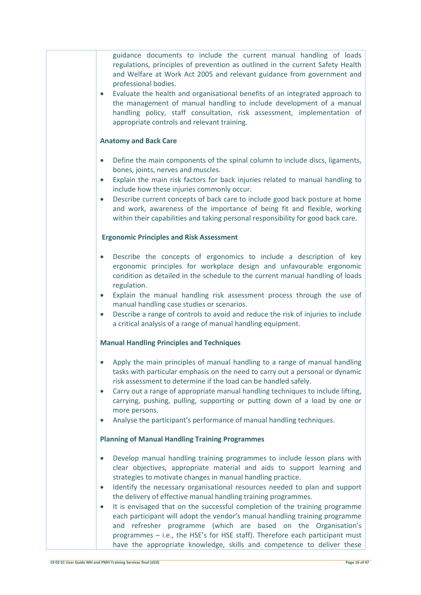| guidance documents to include the current manual handling of loads<br>regulations, principles of prevention as outlined in the current Safety Health<br>and Welfare at Work Act 2005 and relevant guidance from government and<br>professional bodies.<br>Evaluate the health and organisational benefits of an integrated approach to<br>$\bullet$<br>the management of manual handling to include development of a manual<br>handling policy, staff consultation, risk assessment, implementation of<br>appropriate controls and relevant training.                                                                                                                                                                                                                                  |
|----------------------------------------------------------------------------------------------------------------------------------------------------------------------------------------------------------------------------------------------------------------------------------------------------------------------------------------------------------------------------------------------------------------------------------------------------------------------------------------------------------------------------------------------------------------------------------------------------------------------------------------------------------------------------------------------------------------------------------------------------------------------------------------|
| <b>Anatomy and Back Care</b>                                                                                                                                                                                                                                                                                                                                                                                                                                                                                                                                                                                                                                                                                                                                                           |
| Define the main components of the spinal column to include discs, ligaments,<br>$\bullet$<br>bones, joints, nerves and muscles.<br>Explain the main risk factors for back injuries related to manual handling to<br>$\bullet$<br>include how these injuries commonly occur.<br>Describe current concepts of back care to include good back posture at home<br>and work, awareness of the importance of being fit and flexible, working<br>within their capabilities and taking personal responsibility for good back care.                                                                                                                                                                                                                                                             |
| <b>Ergonomic Principles and Risk Assessment</b>                                                                                                                                                                                                                                                                                                                                                                                                                                                                                                                                                                                                                                                                                                                                        |
| Describe the concepts of ergonomics to include a description of key<br>ergonomic principles for workplace design and unfavourable ergonomic<br>condition as detailed in the schedule to the current manual handling of loads<br>regulation.<br>Explain the manual handling risk assessment process through the use of<br>$\bullet$<br>manual handling case studies or scenarios.<br>Describe a range of controls to avoid and reduce the risk of injuries to include<br>$\bullet$<br>a critical analysis of a range of manual handling equipment.                                                                                                                                                                                                                                      |
| <b>Manual Handling Principles and Techniques</b>                                                                                                                                                                                                                                                                                                                                                                                                                                                                                                                                                                                                                                                                                                                                       |
| • Apply the main principles of manual handling to a range of manual handling<br>tasks with particular emphasis on the need to carry out a personal or dynamic<br>risk assessment to determine if the load can be handled safely.<br>Carry out a range of appropriate manual handling techniques to include lifting,<br>$\bullet$<br>carrying, pushing, pulling, supporting or putting down of a load by one or<br>more persons.<br>Analyse the participant's performance of manual handling techniques.<br>$\bullet$                                                                                                                                                                                                                                                                   |
| <b>Planning of Manual Handling Training Programmes</b>                                                                                                                                                                                                                                                                                                                                                                                                                                                                                                                                                                                                                                                                                                                                 |
| Develop manual handling training programmes to include lesson plans with<br>$\bullet$<br>clear objectives, appropriate material and aids to support learning and<br>strategies to motivate changes in manual handling practice.<br>Identify the necessary organisational resources needed to plan and support<br>the delivery of effective manual handling training programmes.<br>It is envisaged that on the successful completion of the training programme<br>$\bullet$<br>each participant will adopt the vendor's manual handling training programme<br>and refresher programme (which are based on the Organisation's<br>programmes - i.e., the HSE's for HSE staff). Therefore each participant must<br>have the appropriate knowledge, skills and competence to deliver these |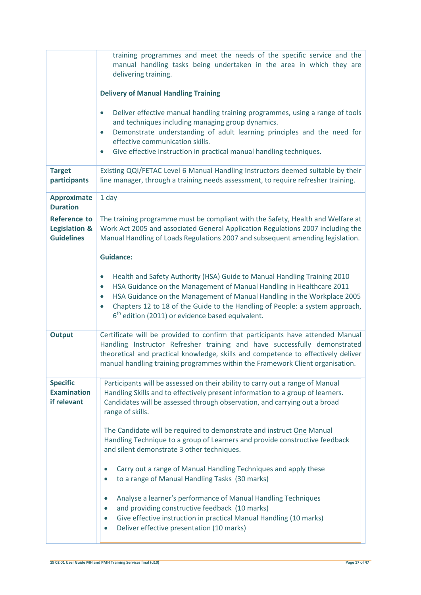|                                                                      | training programmes and meet the needs of the specific service and the<br>manual handling tasks being undertaken in the area in which they are<br>delivering training.<br><b>Delivery of Manual Handling Training</b><br>Deliver effective manual handling training programmes, using a range of tools<br>$\bullet$                                                                                                   |
|----------------------------------------------------------------------|-----------------------------------------------------------------------------------------------------------------------------------------------------------------------------------------------------------------------------------------------------------------------------------------------------------------------------------------------------------------------------------------------------------------------|
|                                                                      | and techniques including managing group dynamics.<br>Demonstrate understanding of adult learning principles and the need for<br>$\bullet$<br>effective communication skills.<br>Give effective instruction in practical manual handling techniques.                                                                                                                                                                   |
| <b>Target</b><br>participants                                        | Existing QQI/FETAC Level 6 Manual Handling Instructors deemed suitable by their<br>line manager, through a training needs assessment, to require refresher training.                                                                                                                                                                                                                                                  |
| <b>Approximate</b><br><b>Duration</b>                                | 1 day                                                                                                                                                                                                                                                                                                                                                                                                                 |
| <b>Reference to</b><br><b>Legislation &amp;</b><br><b>Guidelines</b> | The training programme must be compliant with the Safety, Health and Welfare at<br>Work Act 2005 and associated General Application Regulations 2007 including the<br>Manual Handling of Loads Regulations 2007 and subsequent amending legislation.<br><b>Guidance:</b>                                                                                                                                              |
|                                                                      | Health and Safety Authority (HSA) Guide to Manual Handling Training 2010<br>$\bullet$<br>HSA Guidance on the Management of Manual Handling in Healthcare 2011<br>$\bullet$<br>HSA Guidance on the Management of Manual Handling in the Workplace 2005<br>$\bullet$<br>Chapters 12 to 18 of the Guide to the Handling of People: a system approach,<br>$\bullet$<br>$6th$ edition (2011) or evidence based equivalent. |
| <b>Output</b>                                                        | Certificate will be provided to confirm that participants have attended Manual<br>Handling Instructor Refresher training and have successfully demonstrated<br>theoretical and practical knowledge, skills and competence to effectively deliver<br>manual handling training programmes within the Framework Client organisation.                                                                                     |
| <b>Specific</b><br><b>Examination</b><br>if relevant                 | Participants will be assessed on their ability to carry out a range of Manual<br>Handling Skills and to effectively present information to a group of learners.<br>Candidates will be assessed through observation, and carrying out a broad<br>range of skills.                                                                                                                                                      |
|                                                                      | The Candidate will be required to demonstrate and instruct One Manual<br>Handling Technique to a group of Learners and provide constructive feedback<br>and silent demonstrate 3 other techniques.                                                                                                                                                                                                                    |
|                                                                      | Carry out a range of Manual Handling Techniques and apply these<br>to a range of Manual Handling Tasks (30 marks)                                                                                                                                                                                                                                                                                                     |
|                                                                      | Analyse a learner's performance of Manual Handling Techniques<br>$\bullet$<br>and providing constructive feedback (10 marks)<br>$\bullet$<br>Give effective instruction in practical Manual Handling (10 marks)<br>$\bullet$<br>Deliver effective presentation (10 marks)<br>$\bullet$                                                                                                                                |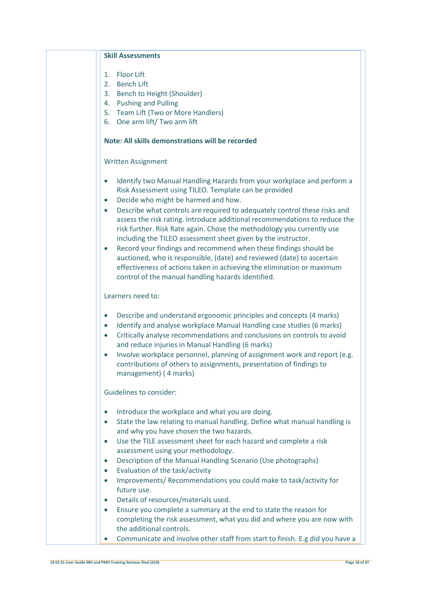| <b>Skill Assessments</b>                                                                                                                                                                                                                                                                                                                                                                                                                                                                                                                                                                                   |
|------------------------------------------------------------------------------------------------------------------------------------------------------------------------------------------------------------------------------------------------------------------------------------------------------------------------------------------------------------------------------------------------------------------------------------------------------------------------------------------------------------------------------------------------------------------------------------------------------------|
| <b>Floor Lift</b><br>1.<br>2.<br><b>Bench Lift</b>                                                                                                                                                                                                                                                                                                                                                                                                                                                                                                                                                         |
| 3. Bench to Height (Shoulder)                                                                                                                                                                                                                                                                                                                                                                                                                                                                                                                                                                              |
| 4. Pushing and Pulling<br>5. Team Lift (Two or More Handlers)                                                                                                                                                                                                                                                                                                                                                                                                                                                                                                                                              |
| 6. One arm lift/ Two arm lift                                                                                                                                                                                                                                                                                                                                                                                                                                                                                                                                                                              |
|                                                                                                                                                                                                                                                                                                                                                                                                                                                                                                                                                                                                            |
| Note: All skills demonstrations will be recorded                                                                                                                                                                                                                                                                                                                                                                                                                                                                                                                                                           |
| <b>Written Assignment</b>                                                                                                                                                                                                                                                                                                                                                                                                                                                                                                                                                                                  |
| Identify two Manual Handling Hazards from your workplace and perform a<br>$\bullet$<br>Risk Assessment using TILEO. Template can be provided<br>Decide who might be harmed and how.<br>$\bullet$                                                                                                                                                                                                                                                                                                                                                                                                           |
| Describe what controls are required to adequately control these risks and<br>$\bullet$<br>assess the risk rating. Introduce additional recommendations to reduce the<br>risk further. Risk Rate again. Chose the methodology you currently use<br>including the TILEO assessment sheet given by the instructor.<br>Record your findings and recommend when these findings should be<br>$\bullet$<br>auctioned, who is responsible, (date) and reviewed (date) to ascertain<br>effectiveness of actions taken in achieving the elimination or maximum<br>control of the manual handling hazards identified. |
| Learners need to:                                                                                                                                                                                                                                                                                                                                                                                                                                                                                                                                                                                          |
| Describe and understand ergonomic principles and concepts (4 marks)<br>$\bullet$<br>Identify and analyse workplace Manual Handling case studies (6 marks)<br>$\bullet$<br>Critically analyse recommendations and conclusions on controls to avoid<br>$\bullet$<br>and reduce injuries in Manual Handling (6 marks)<br>Involve workplace personnel, planning of assignment work and report (e.g.<br>$\bullet$                                                                                                                                                                                               |
| contributions of others to assignments, presentation of findings to<br>management) (4 marks)                                                                                                                                                                                                                                                                                                                                                                                                                                                                                                               |
| Guidelines to consider:                                                                                                                                                                                                                                                                                                                                                                                                                                                                                                                                                                                    |
| Introduce the workplace and what you are doing.<br>$\bullet$                                                                                                                                                                                                                                                                                                                                                                                                                                                                                                                                               |
| State the law relating to manual handling. Define what manual handling is<br>$\bullet$                                                                                                                                                                                                                                                                                                                                                                                                                                                                                                                     |
| and why you have chosen the two hazards.                                                                                                                                                                                                                                                                                                                                                                                                                                                                                                                                                                   |
| Use the TILE assessment sheet for each hazard and complete a risk<br>assessment using your methodology.                                                                                                                                                                                                                                                                                                                                                                                                                                                                                                    |
| Description of the Manual Handling Scenario (Use photographs)<br>$\bullet$                                                                                                                                                                                                                                                                                                                                                                                                                                                                                                                                 |
| Evaluation of the task/activity<br>$\bullet$                                                                                                                                                                                                                                                                                                                                                                                                                                                                                                                                                               |
| Improvements/ Recommendations you could make to task/activity for                                                                                                                                                                                                                                                                                                                                                                                                                                                                                                                                          |
| future use.                                                                                                                                                                                                                                                                                                                                                                                                                                                                                                                                                                                                |
| Details of resources/materials used.                                                                                                                                                                                                                                                                                                                                                                                                                                                                                                                                                                       |
| Ensure you complete a summary at the end to state the reason for<br>completing the risk assessment, what you did and where you are now with<br>the additional controls.                                                                                                                                                                                                                                                                                                                                                                                                                                    |
| Communicate and involve other staff from start to finish. E.g did you have a                                                                                                                                                                                                                                                                                                                                                                                                                                                                                                                               |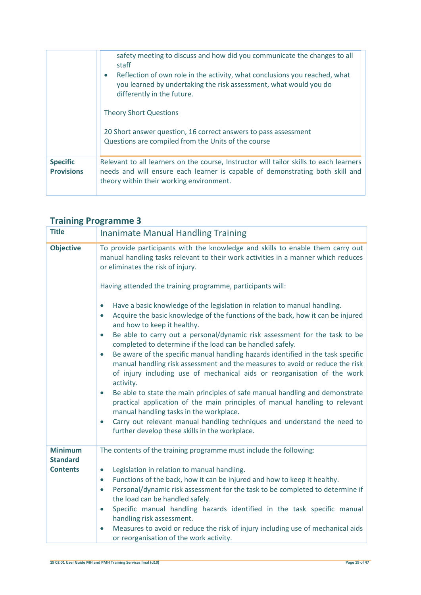|                                      | safety meeting to discuss and how did you communicate the changes to all<br>staff<br>Reflection of own role in the activity, what conclusions you reached, what<br>you learned by undertaking the risk assessment, what would you do<br>differently in the future. |
|--------------------------------------|--------------------------------------------------------------------------------------------------------------------------------------------------------------------------------------------------------------------------------------------------------------------|
|                                      | <b>Theory Short Questions</b>                                                                                                                                                                                                                                      |
|                                      | 20 Short answer question, 16 correct answers to pass assessment<br>Questions are compiled from the Units of the course                                                                                                                                             |
| <b>Specific</b><br><b>Provisions</b> | Relevant to all learners on the course, Instructor will tailor skills to each learners<br>needs and will ensure each learner is capable of demonstrating both skill and<br>theory within their working environment.                                                |

| <b>Title</b>                      | <b>Inanimate Manual Handling Training</b>                                                                                                                                                                                                                                                                                                                                                                                                                                                                                                                                                                                                                                                                                                                                                                                                                                                                                                                                                                    |
|-----------------------------------|--------------------------------------------------------------------------------------------------------------------------------------------------------------------------------------------------------------------------------------------------------------------------------------------------------------------------------------------------------------------------------------------------------------------------------------------------------------------------------------------------------------------------------------------------------------------------------------------------------------------------------------------------------------------------------------------------------------------------------------------------------------------------------------------------------------------------------------------------------------------------------------------------------------------------------------------------------------------------------------------------------------|
| <b>Objective</b>                  | To provide participants with the knowledge and skills to enable them carry out<br>manual handling tasks relevant to their work activities in a manner which reduces<br>or eliminates the risk of injury.                                                                                                                                                                                                                                                                                                                                                                                                                                                                                                                                                                                                                                                                                                                                                                                                     |
|                                   | Having attended the training programme, participants will:                                                                                                                                                                                                                                                                                                                                                                                                                                                                                                                                                                                                                                                                                                                                                                                                                                                                                                                                                   |
|                                   | Have a basic knowledge of the legislation in relation to manual handling.<br>Acquire the basic knowledge of the functions of the back, how it can be injured<br>$\bullet$<br>and how to keep it healthy.<br>Be able to carry out a personal/dynamic risk assessment for the task to be<br>$\bullet$<br>completed to determine if the load can be handled safely.<br>Be aware of the specific manual handling hazards identified in the task specific<br>$\bullet$<br>manual handling risk assessment and the measures to avoid or reduce the risk<br>of injury including use of mechanical aids or reorganisation of the work<br>activity.<br>Be able to state the main principles of safe manual handling and demonstrate<br>$\bullet$<br>practical application of the main principles of manual handling to relevant<br>manual handling tasks in the workplace.<br>Carry out relevant manual handling techniques and understand the need to<br>$\bullet$<br>further develop these skills in the workplace. |
| <b>Minimum</b><br><b>Standard</b> | The contents of the training programme must include the following:                                                                                                                                                                                                                                                                                                                                                                                                                                                                                                                                                                                                                                                                                                                                                                                                                                                                                                                                           |
| <b>Contents</b>                   | Legislation in relation to manual handling.<br>$\bullet$<br>Functions of the back, how it can be injured and how to keep it healthy.<br>$\bullet$<br>Personal/dynamic risk assessment for the task to be completed to determine if<br>$\bullet$<br>the load can be handled safely.<br>Specific manual handling hazards identified in the task specific manual<br>handling risk assessment.<br>Measures to avoid or reduce the risk of injury including use of mechanical aids<br>$\bullet$<br>or reorganisation of the work activity.                                                                                                                                                                                                                                                                                                                                                                                                                                                                        |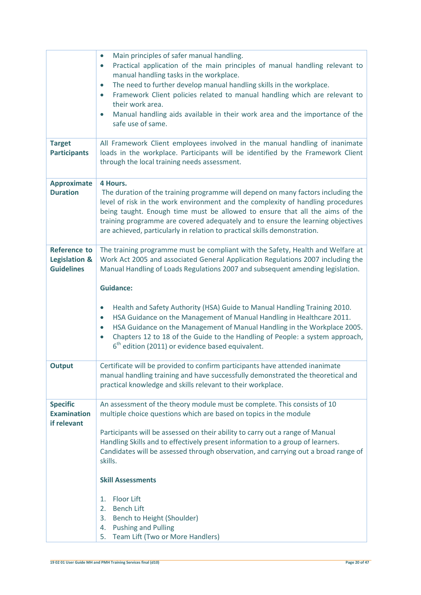|                                                                      | Main principles of safer manual handling.<br>Practical application of the main principles of manual handling relevant to<br>$\bullet$<br>manual handling tasks in the workplace.<br>The need to further develop manual handling skills in the workplace.<br>$\bullet$<br>Framework Client policies related to manual handling which are relevant to<br>$\bullet$<br>their work area.                                                                                                                                                                                                                                                           |
|----------------------------------------------------------------------|------------------------------------------------------------------------------------------------------------------------------------------------------------------------------------------------------------------------------------------------------------------------------------------------------------------------------------------------------------------------------------------------------------------------------------------------------------------------------------------------------------------------------------------------------------------------------------------------------------------------------------------------|
|                                                                      | Manual handling aids available in their work area and the importance of the<br>$\bullet$<br>safe use of same.                                                                                                                                                                                                                                                                                                                                                                                                                                                                                                                                  |
| <b>Target</b><br><b>Participants</b>                                 | All Framework Client employees involved in the manual handling of inanimate<br>loads in the workplace. Participants will be identified by the Framework Client<br>through the local training needs assessment.                                                                                                                                                                                                                                                                                                                                                                                                                                 |
| <b>Approximate</b><br><b>Duration</b>                                | 4 Hours.<br>The duration of the training programme will depend on many factors including the<br>level of risk in the work environment and the complexity of handling procedures<br>being taught. Enough time must be allowed to ensure that all the aims of the<br>training programme are covered adequately and to ensure the learning objectives<br>are achieved, particularly in relation to practical skills demonstration.                                                                                                                                                                                                                |
| <b>Reference to</b><br><b>Legislation &amp;</b><br><b>Guidelines</b> | The training programme must be compliant with the Safety, Health and Welfare at<br>Work Act 2005 and associated General Application Regulations 2007 including the<br>Manual Handling of Loads Regulations 2007 and subsequent amending legislation.<br><b>Guidance:</b><br>Health and Safety Authority (HSA) Guide to Manual Handling Training 2010.<br>$\bullet$<br>HSA Guidance on the Management of Manual Handling in Healthcare 2011.<br>$\bullet$<br>HSA Guidance on the Management of Manual Handling in the Workplace 2005.<br>$\bullet$<br>Chapters 12 to 18 of the Guide to the Handling of People: a system approach,<br>$\bullet$ |
|                                                                      | $6th$ edition (2011) or evidence based equivalent.                                                                                                                                                                                                                                                                                                                                                                                                                                                                                                                                                                                             |
| <b>Output</b>                                                        | Certificate will be provided to confirm participants have attended inanimate<br>manual handling training and have successfully demonstrated the theoretical and<br>practical knowledge and skills relevant to their workplace.                                                                                                                                                                                                                                                                                                                                                                                                                 |
| <b>Specific</b><br><b>Examination</b><br>if relevant                 | An assessment of the theory module must be complete. This consists of 10<br>multiple choice questions which are based on topics in the module<br>Participants will be assessed on their ability to carry out a range of Manual<br>Handling Skills and to effectively present information to a group of learners.<br>Candidates will be assessed through observation, and carrying out a broad range of<br>skills.<br><b>Skill Assessments</b><br><b>Floor Lift</b><br>1.<br><b>Bench Lift</b><br>2.<br>Bench to Height (Shoulder)<br>3.                                                                                                        |
|                                                                      | <b>Pushing and Pulling</b><br>4.<br>5.<br>Team Lift (Two or More Handlers)                                                                                                                                                                                                                                                                                                                                                                                                                                                                                                                                                                     |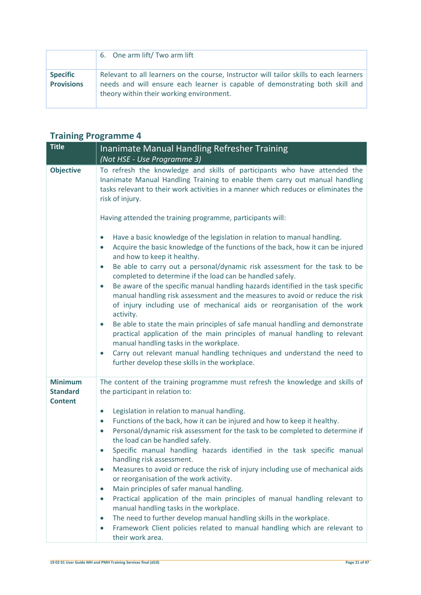|                                      | 6. One arm lift/Two arm lift                                                                                                                                                                                        |
|--------------------------------------|---------------------------------------------------------------------------------------------------------------------------------------------------------------------------------------------------------------------|
| <b>Specific</b><br><b>Provisions</b> | Relevant to all learners on the course, Instructor will tailor skills to each learners<br>needs and will ensure each learner is capable of demonstrating both skill and<br>theory within their working environment. |

| <b>Title</b>                                        | Inanimate Manual Handling Refresher Training                                                                                                                                                                                                                           |
|-----------------------------------------------------|------------------------------------------------------------------------------------------------------------------------------------------------------------------------------------------------------------------------------------------------------------------------|
|                                                     | (Not HSE - Use Programme 3)                                                                                                                                                                                                                                            |
| <b>Objective</b>                                    | To refresh the knowledge and skills of participants who have attended the<br>Inanimate Manual Handling Training to enable them carry out manual handling<br>tasks relevant to their work activities in a manner which reduces or eliminates the<br>risk of injury.     |
|                                                     | Having attended the training programme, participants will:                                                                                                                                                                                                             |
|                                                     | Have a basic knowledge of the legislation in relation to manual handling.<br>$\bullet$<br>Acquire the basic knowledge of the functions of the back, how it can be injured<br>$\bullet$<br>and how to keep it healthy.                                                  |
|                                                     | Be able to carry out a personal/dynamic risk assessment for the task to be<br>$\bullet$<br>completed to determine if the load can be handled safely.                                                                                                                   |
|                                                     | Be aware of the specific manual handling hazards identified in the task specific<br>$\bullet$<br>manual handling risk assessment and the measures to avoid or reduce the risk<br>of injury including use of mechanical aids or reorganisation of the work<br>activity. |
|                                                     | Be able to state the main principles of safe manual handling and demonstrate<br>$\bullet$<br>practical application of the main principles of manual handling to relevant<br>manual handling tasks in the workplace.                                                    |
|                                                     | Carry out relevant manual handling techniques and understand the need to<br>$\bullet$<br>further develop these skills in the workplace.                                                                                                                                |
| <b>Minimum</b><br><b>Standard</b><br><b>Content</b> | The content of the training programme must refresh the knowledge and skills of<br>the participant in relation to:<br>$\bullet$                                                                                                                                         |
|                                                     | Legislation in relation to manual handling.<br>Functions of the back, how it can be injured and how to keep it healthy.<br>$\bullet$                                                                                                                                   |
|                                                     | Personal/dynamic risk assessment for the task to be completed to determine if<br>$\bullet$<br>the load can be handled safely.                                                                                                                                          |
|                                                     | Specific manual handling hazards identified in the task specific manual<br>$\bullet$<br>handling risk assessment.                                                                                                                                                      |
|                                                     | Measures to avoid or reduce the risk of injury including use of mechanical aids<br>$\bullet$<br>or reorganisation of the work activity.                                                                                                                                |
|                                                     | Main principles of safer manual handling.<br>$\bullet$                                                                                                                                                                                                                 |
|                                                     | Practical application of the main principles of manual handling relevant to<br>$\bullet$<br>manual handling tasks in the workplace.                                                                                                                                    |
|                                                     | The need to further develop manual handling skills in the workplace.<br>$\bullet$                                                                                                                                                                                      |
|                                                     | Framework Client policies related to manual handling which are relevant to<br>$\bullet$<br>their work area.                                                                                                                                                            |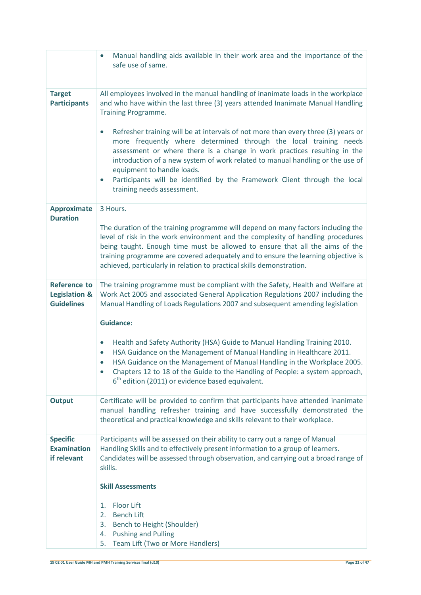|                                                                      | Manual handling aids available in their work area and the importance of the<br>safe use of same.                                                                                                                                                                                                                                                                                                                                                             |
|----------------------------------------------------------------------|--------------------------------------------------------------------------------------------------------------------------------------------------------------------------------------------------------------------------------------------------------------------------------------------------------------------------------------------------------------------------------------------------------------------------------------------------------------|
| <b>Target</b><br><b>Participants</b>                                 | All employees involved in the manual handling of inanimate loads in the workplace<br>and who have within the last three (3) years attended Inanimate Manual Handling<br>Training Programme.                                                                                                                                                                                                                                                                  |
|                                                                      | Refresher training will be at intervals of not more than every three (3) years or<br>more frequently where determined through the local training needs<br>assessment or where there is a change in work practices resulting in the<br>introduction of a new system of work related to manual handling or the use of<br>equipment to handle loads.<br>Participants will be identified by the Framework Client through the local<br>training needs assessment. |
| <b>Approximate</b>                                                   | 3 Hours.                                                                                                                                                                                                                                                                                                                                                                                                                                                     |
| <b>Duration</b>                                                      | The duration of the training programme will depend on many factors including the<br>level of risk in the work environment and the complexity of handling procedures<br>being taught. Enough time must be allowed to ensure that all the aims of the<br>training programme are covered adequately and to ensure the learning objective is<br>achieved, particularly in relation to practical skills demonstration.                                            |
| <b>Reference to</b><br><b>Legislation &amp;</b><br><b>Guidelines</b> | The training programme must be compliant with the Safety, Health and Welfare at<br>Work Act 2005 and associated General Application Regulations 2007 including the<br>Manual Handling of Loads Regulations 2007 and subsequent amending legislation                                                                                                                                                                                                          |
|                                                                      | <b>Guidance:</b>                                                                                                                                                                                                                                                                                                                                                                                                                                             |
|                                                                      | Health and Safety Authority (HSA) Guide to Manual Handling Training 2010.<br>$\bullet$<br>HSA Guidance on the Management of Manual Handling in Healthcare 2011.<br>HSA Guidance on the Management of Manual Handling in the Workplace 2005.<br>Chapters 12 to 18 of the Guide to the Handling of People: a system approach,<br>$6th$ edition (2011) or evidence based equivalent.                                                                            |
| <b>Output</b>                                                        | Certificate will be provided to confirm that participants have attended inanimate<br>manual handling refresher training and have successfully demonstrated the<br>theoretical and practical knowledge and skills relevant to their workplace.                                                                                                                                                                                                                |
| <b>Specific</b><br><b>Examination</b><br>if relevant                 | Participants will be assessed on their ability to carry out a range of Manual<br>Handling Skills and to effectively present information to a group of learners.<br>Candidates will be assessed through observation, and carrying out a broad range of<br>skills.                                                                                                                                                                                             |
|                                                                      | <b>Skill Assessments</b>                                                                                                                                                                                                                                                                                                                                                                                                                                     |
|                                                                      | <b>Floor Lift</b><br>1.<br><b>Bench Lift</b><br>2.<br>3.<br>Bench to Height (Shoulder)<br><b>Pushing and Pulling</b><br>4.<br>Team Lift (Two or More Handlers)<br>5.                                                                                                                                                                                                                                                                                         |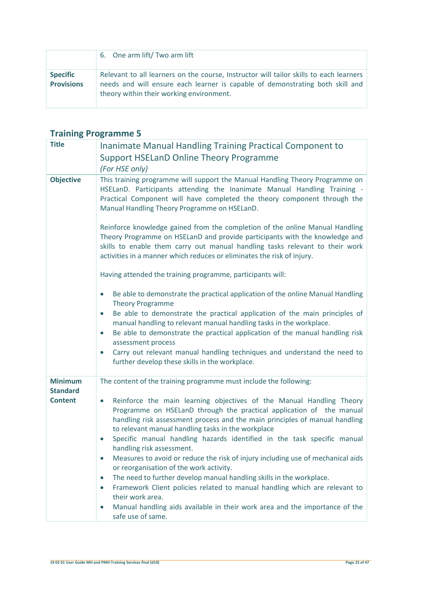|                                      | 6. One arm lift/Two arm lift                                                                                                                                                                                        |
|--------------------------------------|---------------------------------------------------------------------------------------------------------------------------------------------------------------------------------------------------------------------|
| <b>Specific</b><br><b>Provisions</b> | Relevant to all learners on the course, Instructor will tailor skills to each learners<br>needs and will ensure each learner is capable of demonstrating both skill and<br>theory within their working environment. |

| <b>Title</b>                                        | Inanimate Manual Handling Training Practical Component to<br><b>Support HSELanD Online Theory Programme</b><br>(For HSE only)                                                                                                                                                                                                                                                                                                                                                                                                                                                                                                                                                                                                                                                                                                                                                                                                                            |
|-----------------------------------------------------|----------------------------------------------------------------------------------------------------------------------------------------------------------------------------------------------------------------------------------------------------------------------------------------------------------------------------------------------------------------------------------------------------------------------------------------------------------------------------------------------------------------------------------------------------------------------------------------------------------------------------------------------------------------------------------------------------------------------------------------------------------------------------------------------------------------------------------------------------------------------------------------------------------------------------------------------------------|
| <b>Objective</b>                                    | This training programme will support the Manual Handling Theory Programme on<br>HSELanD. Participants attending the Inanimate Manual Handling Training -<br>Practical Component will have completed the theory component through the<br>Manual Handling Theory Programme on HSELanD.<br>Reinforce knowledge gained from the completion of the online Manual Handling<br>Theory Programme on HSELanD and provide participants with the knowledge and<br>skills to enable them carry out manual handling tasks relevant to their work<br>activities in a manner which reduces or eliminates the risk of injury.                                                                                                                                                                                                                                                                                                                                            |
|                                                     | Having attended the training programme, participants will:<br>Be able to demonstrate the practical application of the online Manual Handling<br>$\bullet$<br><b>Theory Programme</b><br>Be able to demonstrate the practical application of the main principles of<br>$\bullet$<br>manual handling to relevant manual handling tasks in the workplace.<br>Be able to demonstrate the practical application of the manual handling risk<br>$\bullet$<br>assessment process<br>Carry out relevant manual handling techniques and understand the need to<br>further develop these skills in the workplace.                                                                                                                                                                                                                                                                                                                                                  |
| <b>Minimum</b><br><b>Standard</b><br><b>Content</b> | The content of the training programme must include the following:<br>Reinforce the main learning objectives of the Manual Handling Theory<br>$\bullet$<br>Programme on HSELanD through the practical application of the manual<br>handling risk assessment process and the main principles of manual handling<br>to relevant manual handling tasks in the workplace<br>Specific manual handling hazards identified in the task specific manual<br>$\bullet$<br>handling risk assessment.<br>Measures to avoid or reduce the risk of injury including use of mechanical aids<br>$\bullet$<br>or reorganisation of the work activity.<br>The need to further develop manual handling skills in the workplace.<br>$\bullet$<br>Framework Client policies related to manual handling which are relevant to<br>$\bullet$<br>their work area.<br>Manual handling aids available in their work area and the importance of the<br>$\bullet$<br>safe use of same. |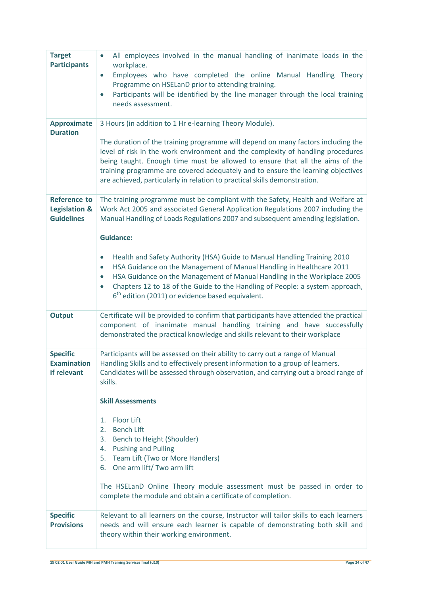| <b>Target</b><br><b>Participants</b>                      | All employees involved in the manual handling of inanimate loads in the<br>$\bullet$<br>workplace.<br>Employees who have completed the online Manual Handling Theory<br>$\bullet$<br>Programme on HSELanD prior to attending training.<br>Participants will be identified by the line manager through the local training<br>$\bullet$<br>needs assessment.                                                                                                                                                                                                                                                                                                              |
|-----------------------------------------------------------|-------------------------------------------------------------------------------------------------------------------------------------------------------------------------------------------------------------------------------------------------------------------------------------------------------------------------------------------------------------------------------------------------------------------------------------------------------------------------------------------------------------------------------------------------------------------------------------------------------------------------------------------------------------------------|
| <b>Approximate</b><br><b>Duration</b>                     | 3 Hours (in addition to 1 Hr e-learning Theory Module).<br>The duration of the training programme will depend on many factors including the<br>level of risk in the work environment and the complexity of handling procedures<br>being taught. Enough time must be allowed to ensure that all the aims of the<br>training programme are covered adequately and to ensure the learning objectives<br>are achieved, particularly in relation to practical skills demonstration.                                                                                                                                                                                          |
| <b>Reference to</b><br>Legislation &<br><b>Guidelines</b> | The training programme must be compliant with the Safety, Health and Welfare at<br>Work Act 2005 and associated General Application Regulations 2007 including the<br>Manual Handling of Loads Regulations 2007 and subsequent amending legislation.<br><b>Guidance:</b><br>Health and Safety Authority (HSA) Guide to Manual Handling Training 2010<br>HSA Guidance on the Management of Manual Handling in Healthcare 2011<br>$\bullet$<br>HSA Guidance on the Management of Manual Handling in the Workplace 2005<br>$\bullet$<br>Chapters 12 to 18 of the Guide to the Handling of People: a system approach,<br>$6th$ edition (2011) or evidence based equivalent. |
| <b>Output</b>                                             | Certificate will be provided to confirm that participants have attended the practical<br>component of inanimate manual handling training and have successfully<br>demonstrated the practical knowledge and skills relevant to their workplace                                                                                                                                                                                                                                                                                                                                                                                                                           |
| <b>Specific</b><br><b>Examination</b><br>if relevant      | Participants will be assessed on their ability to carry out a range of Manual<br>Handling Skills and to effectively present information to a group of learners.<br>Candidates will be assessed through observation, and carrying out a broad range of<br>skills.<br><b>Skill Assessments</b><br><b>Floor Lift</b><br>1.<br><b>Bench Lift</b><br>2.<br>Bench to Height (Shoulder)<br>3.<br><b>Pushing and Pulling</b><br>4.<br>5. Team Lift (Two or More Handlers)<br>6. One arm lift/Two arm lift<br>The HSELanD Online Theory module assessment must be passed in order to<br>complete the module and obtain a certificate of completion.                              |
| <b>Specific</b><br><b>Provisions</b>                      | Relevant to all learners on the course, Instructor will tailor skills to each learners<br>needs and will ensure each learner is capable of demonstrating both skill and<br>theory within their working environment.                                                                                                                                                                                                                                                                                                                                                                                                                                                     |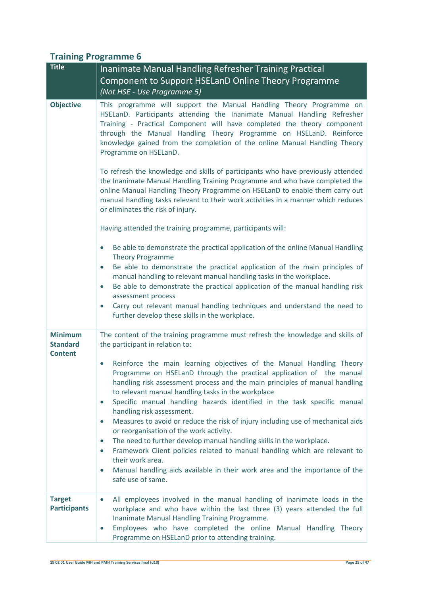| <b>Title</b>                                        | Inanimate Manual Handling Refresher Training Practical                                                                                                                                                                                                                                                                                                                                                                                                                                                                                                                                                                                                                                                                                                             |
|-----------------------------------------------------|--------------------------------------------------------------------------------------------------------------------------------------------------------------------------------------------------------------------------------------------------------------------------------------------------------------------------------------------------------------------------------------------------------------------------------------------------------------------------------------------------------------------------------------------------------------------------------------------------------------------------------------------------------------------------------------------------------------------------------------------------------------------|
|                                                     | Component to Support HSELanD Online Theory Programme                                                                                                                                                                                                                                                                                                                                                                                                                                                                                                                                                                                                                                                                                                               |
|                                                     | (Not HSE - Use Programme 5)                                                                                                                                                                                                                                                                                                                                                                                                                                                                                                                                                                                                                                                                                                                                        |
| <b>Objective</b>                                    | This programme will support the Manual Handling Theory Programme on<br>HSELanD. Participants attending the Inanimate Manual Handling Refresher<br>Training - Practical Component will have completed the theory component<br>through the Manual Handling Theory Programme on HSELanD. Reinforce<br>knowledge gained from the completion of the online Manual Handling Theory<br>Programme on HSELanD.                                                                                                                                                                                                                                                                                                                                                              |
|                                                     | To refresh the knowledge and skills of participants who have previously attended<br>the Inanimate Manual Handling Training Programme and who have completed the<br>online Manual Handling Theory Programme on HSELanD to enable them carry out<br>manual handling tasks relevant to their work activities in a manner which reduces<br>or eliminates the risk of injury.                                                                                                                                                                                                                                                                                                                                                                                           |
|                                                     | Having attended the training programme, participants will:                                                                                                                                                                                                                                                                                                                                                                                                                                                                                                                                                                                                                                                                                                         |
|                                                     | Be able to demonstrate the practical application of the online Manual Handling<br><b>Theory Programme</b>                                                                                                                                                                                                                                                                                                                                                                                                                                                                                                                                                                                                                                                          |
|                                                     | Be able to demonstrate the practical application of the main principles of<br>$\bullet$<br>manual handling to relevant manual handling tasks in the workplace.<br>Be able to demonstrate the practical application of the manual handling risk<br>$\bullet$<br>assessment process<br>Carry out relevant manual handling techniques and understand the need to<br>$\bullet$<br>further develop these skills in the workplace.                                                                                                                                                                                                                                                                                                                                       |
| <b>Minimum</b><br><b>Standard</b><br><b>Content</b> | The content of the training programme must refresh the knowledge and skills of<br>the participant in relation to:                                                                                                                                                                                                                                                                                                                                                                                                                                                                                                                                                                                                                                                  |
|                                                     | Reinforce the main learning objectives of the Manual Handling Theory<br>$\bullet$<br>Programme on HSELanD through the practical application of the manual<br>handling risk assessment process and the main principles of manual handling<br>to relevant manual handling tasks in the workplace<br>Specific manual handling hazards identified in the task specific manual<br>$\bullet$<br>handling risk assessment.<br>Measures to avoid or reduce the risk of injury including use of mechanical aids<br>$\bullet$<br>or reorganisation of the work activity.<br>The need to further develop manual handling skills in the workplace.<br>$\bullet$<br>Framework Client policies related to manual handling which are relevant to<br>$\bullet$<br>their work area. |
|                                                     | Manual handling aids available in their work area and the importance of the<br>$\bullet$<br>safe use of same.                                                                                                                                                                                                                                                                                                                                                                                                                                                                                                                                                                                                                                                      |
| <b>Target</b><br><b>Participants</b>                | All employees involved in the manual handling of inanimate loads in the<br>$\bullet$<br>workplace and who have within the last three (3) years attended the full<br>Inanimate Manual Handling Training Programme.<br>Employees who have completed the online Manual Handling Theory<br>$\bullet$<br>Programme on HSELanD prior to attending training.                                                                                                                                                                                                                                                                                                                                                                                                              |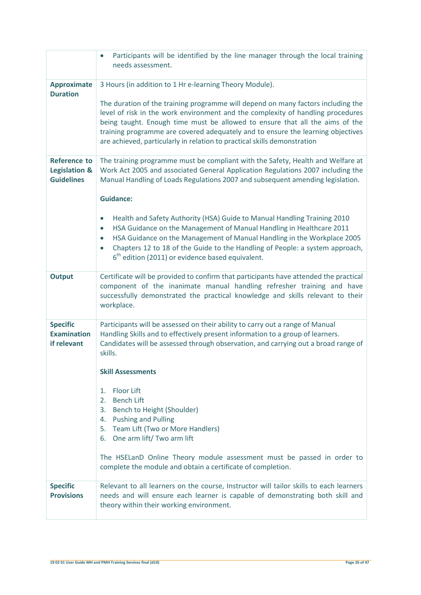|                                                                      | Participants will be identified by the line manager through the local training<br>needs assessment.                                                                                                                                                                                                                                                                                                                                                                           |
|----------------------------------------------------------------------|-------------------------------------------------------------------------------------------------------------------------------------------------------------------------------------------------------------------------------------------------------------------------------------------------------------------------------------------------------------------------------------------------------------------------------------------------------------------------------|
| <b>Approximate</b><br><b>Duration</b>                                | 3 Hours (in addition to 1 Hr e-learning Theory Module).<br>The duration of the training programme will depend on many factors including the<br>level of risk in the work environment and the complexity of handling procedures<br>being taught. Enough time must be allowed to ensure that all the aims of the<br>training programme are covered adequately and to ensure the learning objectives<br>are achieved, particularly in relation to practical skills demonstration |
| <b>Reference to</b><br><b>Legislation &amp;</b><br><b>Guidelines</b> | The training programme must be compliant with the Safety, Health and Welfare at<br>Work Act 2005 and associated General Application Regulations 2007 including the<br>Manual Handling of Loads Regulations 2007 and subsequent amending legislation.<br><b>Guidance:</b>                                                                                                                                                                                                      |
|                                                                      | Health and Safety Authority (HSA) Guide to Manual Handling Training 2010<br>HSA Guidance on the Management of Manual Handling in Healthcare 2011<br>$\bullet$<br>HSA Guidance on the Management of Manual Handling in the Workplace 2005<br>$\bullet$<br>Chapters 12 to 18 of the Guide to the Handling of People: a system approach,<br>$6th$ edition (2011) or evidence based equivalent.                                                                                   |
| <b>Output</b>                                                        | Certificate will be provided to confirm that participants have attended the practical<br>component of the inanimate manual handling refresher training and have<br>successfully demonstrated the practical knowledge and skills relevant to their<br>workplace.                                                                                                                                                                                                               |
| <b>Specific</b><br><b>Examination</b><br>if relevant                 | Participants will be assessed on their ability to carry out a range of Manual<br>Handling Skills and to effectively present information to a group of learners.<br>Candidates will be assessed through observation, and carrying out a broad range of<br>skills.<br><b>Skill Assessments</b>                                                                                                                                                                                  |
|                                                                      | <b>Floor Lift</b><br>1.<br>$\overline{2}$ .<br><b>Bench Lift</b><br>Bench to Height (Shoulder)<br>3.<br><b>Pushing and Pulling</b><br>4.<br>5. Team Lift (Two or More Handlers)<br>6. One arm lift/ Two arm lift<br>The HSELanD Online Theory module assessment must be passed in order to                                                                                                                                                                                    |
| <b>Specific</b><br><b>Provisions</b>                                 | complete the module and obtain a certificate of completion.<br>Relevant to all learners on the course, Instructor will tailor skills to each learners<br>needs and will ensure each learner is capable of demonstrating both skill and<br>theory within their working environment.                                                                                                                                                                                            |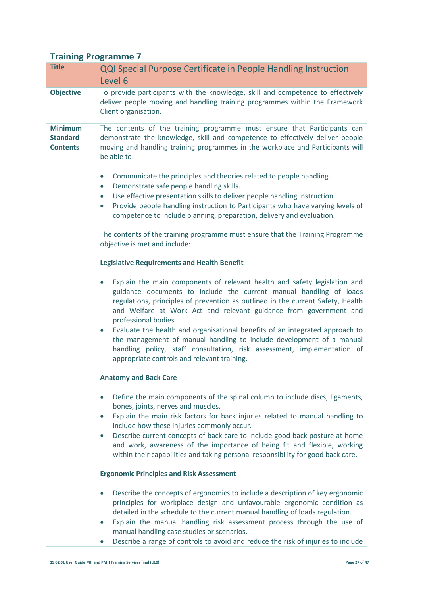| <b>Title</b>                                         | <b>QQI Special Purpose Certificate in People Handling Instruction</b><br>Level 6                                                                                                                                                                                                                                                                                                                                                                                                                                                                                                |
|------------------------------------------------------|---------------------------------------------------------------------------------------------------------------------------------------------------------------------------------------------------------------------------------------------------------------------------------------------------------------------------------------------------------------------------------------------------------------------------------------------------------------------------------------------------------------------------------------------------------------------------------|
| <b>Objective</b>                                     | To provide participants with the knowledge, skill and competence to effectively<br>deliver people moving and handling training programmes within the Framework<br>Client organisation.                                                                                                                                                                                                                                                                                                                                                                                          |
| <b>Minimum</b><br><b>Standard</b><br><b>Contents</b> | The contents of the training programme must ensure that Participants can<br>demonstrate the knowledge, skill and competence to effectively deliver people<br>moving and handling training programmes in the workplace and Participants will<br>be able to:                                                                                                                                                                                                                                                                                                                      |
|                                                      | Communicate the principles and theories related to people handling.<br>$\bullet$<br>Demonstrate safe people handling skills.<br>$\bullet$<br>Use effective presentation skills to deliver people handling instruction.<br>$\bullet$<br>Provide people handling instruction to Participants who have varying levels of<br>$\bullet$<br>competence to include planning, preparation, delivery and evaluation.                                                                                                                                                                     |
|                                                      | The contents of the training programme must ensure that the Training Programme<br>objective is met and include:                                                                                                                                                                                                                                                                                                                                                                                                                                                                 |
|                                                      | <b>Legislative Requirements and Health Benefit</b>                                                                                                                                                                                                                                                                                                                                                                                                                                                                                                                              |
|                                                      | Explain the main components of relevant health and safety legislation and<br>guidance documents to include the current manual handling of loads<br>regulations, principles of prevention as outlined in the current Safety, Health<br>and Welfare at Work Act and relevant guidance from government and<br>professional bodies.<br>Evaluate the health and organisational benefits of an integrated approach to<br>$\bullet$<br>the management of manual handling to include development of a manual<br>handling policy, staff consultation, risk assessment, implementation of |
|                                                      | appropriate controls and relevant training.                                                                                                                                                                                                                                                                                                                                                                                                                                                                                                                                     |
|                                                      | <b>Anatomy and Back Care</b><br>Define the main components of the spinal column to include discs, ligaments,<br>$\bullet$<br>bones, joints, nerves and muscles.<br>Explain the main risk factors for back injuries related to manual handling to<br>$\bullet$<br>include how these injuries commonly occur.<br>Describe current concepts of back care to include good back posture at home<br>$\bullet$<br>and work, awareness of the importance of being fit and flexible, working<br>within their capabilities and taking personal responsibility for good back care.         |
|                                                      | <b>Ergonomic Principles and Risk Assessment</b>                                                                                                                                                                                                                                                                                                                                                                                                                                                                                                                                 |
|                                                      | Describe the concepts of ergonomics to include a description of key ergonomic<br>$\bullet$<br>principles for workplace design and unfavourable ergonomic condition as<br>detailed in the schedule to the current manual handling of loads regulation.<br>Explain the manual handling risk assessment process through the use of<br>$\bullet$<br>manual handling case studies or scenarios.<br>Describe a range of controls to avoid and reduce the risk of injuries to include<br>$\bullet$                                                                                     |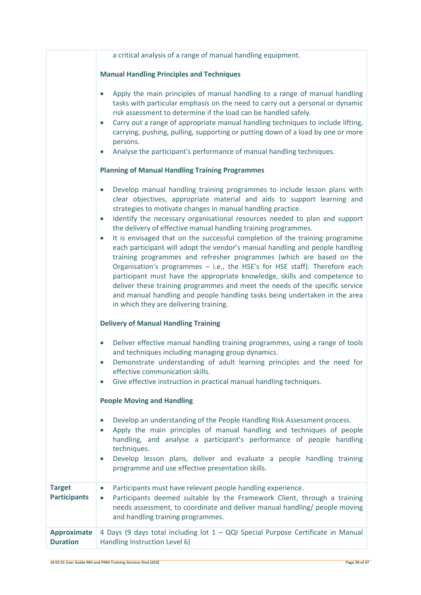|                                       | a critical analysis of a range of manual handling equipment.                                                                                                                                                                                                                                                                                                                                                                                                                                                                                                                                                                                                                                                                                                                                                                                                                                                                                                                                           |
|---------------------------------------|--------------------------------------------------------------------------------------------------------------------------------------------------------------------------------------------------------------------------------------------------------------------------------------------------------------------------------------------------------------------------------------------------------------------------------------------------------------------------------------------------------------------------------------------------------------------------------------------------------------------------------------------------------------------------------------------------------------------------------------------------------------------------------------------------------------------------------------------------------------------------------------------------------------------------------------------------------------------------------------------------------|
|                                       | <b>Manual Handling Principles and Techniques</b>                                                                                                                                                                                                                                                                                                                                                                                                                                                                                                                                                                                                                                                                                                                                                                                                                                                                                                                                                       |
|                                       | Apply the main principles of manual handling to a range of manual handling<br>tasks with particular emphasis on the need to carry out a personal or dynamic<br>risk assessment to determine if the load can be handled safely.<br>Carry out a range of appropriate manual handling techniques to include lifting,<br>$\bullet$<br>carrying, pushing, pulling, supporting or putting down of a load by one or more<br>persons.<br>Analyse the participant's performance of manual handling techniques.                                                                                                                                                                                                                                                                                                                                                                                                                                                                                                  |
|                                       | <b>Planning of Manual Handling Training Programmes</b>                                                                                                                                                                                                                                                                                                                                                                                                                                                                                                                                                                                                                                                                                                                                                                                                                                                                                                                                                 |
|                                       |                                                                                                                                                                                                                                                                                                                                                                                                                                                                                                                                                                                                                                                                                                                                                                                                                                                                                                                                                                                                        |
|                                       | Develop manual handling training programmes to include lesson plans with<br>clear objectives, appropriate material and aids to support learning and<br>strategies to motivate changes in manual handling practice.<br>Identify the necessary organisational resources needed to plan and support<br>$\bullet$<br>the delivery of effective manual handling training programmes.<br>It is envisaged that on the successful completion of the training programme<br>$\bullet$<br>each participant will adopt the vendor's manual handling and people handling<br>training programmes and refresher programmes (which are based on the<br>Organisation's programmes - i.e., the HSE's for HSE staff). Therefore each<br>participant must have the appropriate knowledge, skills and competence to<br>deliver these training programmes and meet the needs of the specific service<br>and manual handling and people handling tasks being undertaken in the area<br>in which they are delivering training. |
|                                       | <b>Delivery of Manual Handling Training</b>                                                                                                                                                                                                                                                                                                                                                                                                                                                                                                                                                                                                                                                                                                                                                                                                                                                                                                                                                            |
|                                       | Deliver effective manual handling training programmes, using a range of tools<br>$\bullet$<br>and techniques including managing group dynamics.<br>Demonstrate understanding of adult learning principles and the need for<br>effective communication skills.<br>Give effective instruction in practical manual handling techniques.<br>$\bullet$                                                                                                                                                                                                                                                                                                                                                                                                                                                                                                                                                                                                                                                      |
|                                       | <b>People Moving and Handling</b>                                                                                                                                                                                                                                                                                                                                                                                                                                                                                                                                                                                                                                                                                                                                                                                                                                                                                                                                                                      |
|                                       | Develop an understanding of the People Handling Risk Assessment process.<br>$\bullet$<br>Apply the main principles of manual handling and techniques of people<br>handling, and analyse a participant's performance of people handling<br>techniques.<br>Develop lesson plans, deliver and evaluate a people handling training<br>$\bullet$<br>programme and use effective presentation skills.                                                                                                                                                                                                                                                                                                                                                                                                                                                                                                                                                                                                        |
| <b>Target</b><br><b>Participants</b>  | Participants must have relevant people handling experience.<br>$\bullet$<br>Participants deemed suitable by the Framework Client, through a training<br>$\bullet$<br>needs assessment, to coordinate and deliver manual handling/ people moving<br>and handling training programmes.                                                                                                                                                                                                                                                                                                                                                                                                                                                                                                                                                                                                                                                                                                                   |
| <b>Approximate</b><br><b>Duration</b> | 4 Days (9 days total including lot 1 - QQI Special Purpose Certificate in Manual<br>Handling Instruction Level 6)                                                                                                                                                                                                                                                                                                                                                                                                                                                                                                                                                                                                                                                                                                                                                                                                                                                                                      |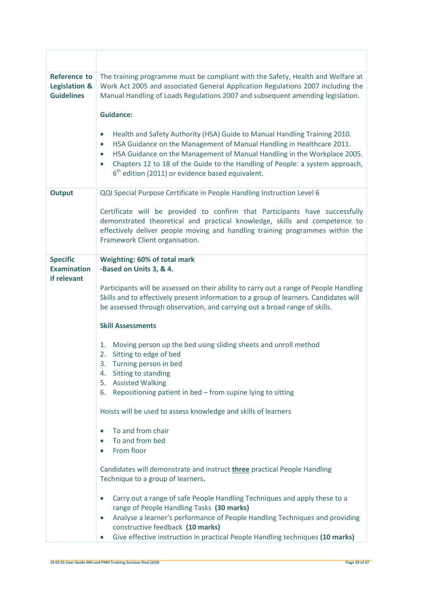| <b>Reference to</b><br>Legislation &<br><b>Guidelines</b> | The training programme must be compliant with the Safety, Health and Welfare at<br>Work Act 2005 and associated General Application Regulations 2007 including the<br>Manual Handling of Loads Regulations 2007 and subsequent amending legislation.<br><b>Guidance:</b><br>Health and Safety Authority (HSA) Guide to Manual Handling Training 2010.<br>HSA Guidance on the Management of Manual Handling in Healthcare 2011.<br>$\bullet$<br>HSA Guidance on the Management of Manual Handling in the Workplace 2005.<br>Chapters 12 to 18 of the Guide to the Handling of People: a system approach,<br>$6th$ edition (2011) or evidence based equivalent. |
|-----------------------------------------------------------|---------------------------------------------------------------------------------------------------------------------------------------------------------------------------------------------------------------------------------------------------------------------------------------------------------------------------------------------------------------------------------------------------------------------------------------------------------------------------------------------------------------------------------------------------------------------------------------------------------------------------------------------------------------|
| <b>Output</b>                                             | QQI Special Purpose Certificate in People Handling Instruction Level 6                                                                                                                                                                                                                                                                                                                                                                                                                                                                                                                                                                                        |
|                                                           | Certificate will be provided to confirm that Participants have successfully<br>demonstrated theoretical and practical knowledge, skills and competence to<br>effectively deliver people moving and handling training programmes within the<br>Framework Client organisation.                                                                                                                                                                                                                                                                                                                                                                                  |
| <b>Specific</b>                                           | Weighting: 60% of total mark                                                                                                                                                                                                                                                                                                                                                                                                                                                                                                                                                                                                                                  |
| <b>Examination</b><br>if relevant                         | -Based on Units 3, & 4.                                                                                                                                                                                                                                                                                                                                                                                                                                                                                                                                                                                                                                       |
|                                                           | Participants will be assessed on their ability to carry out a range of People Handling<br>Skills and to effectively present information to a group of learners. Candidates will<br>be assessed through observation, and carrying out a broad range of skills.                                                                                                                                                                                                                                                                                                                                                                                                 |
|                                                           | <b>Skill Assessments</b>                                                                                                                                                                                                                                                                                                                                                                                                                                                                                                                                                                                                                                      |
|                                                           | Moving person up the bed using sliding sheets and unroll method<br>1.<br>Sitting to edge of bed<br>2.<br>Turning person in bed<br>3.<br>Sitting to standing<br>4.<br><b>Assisted Walking</b><br>5.<br>Repositioning patient in bed - from supine lying to sitting<br>6.                                                                                                                                                                                                                                                                                                                                                                                       |
|                                                           | Hoists will be used to assess knowledge and skills of learners                                                                                                                                                                                                                                                                                                                                                                                                                                                                                                                                                                                                |
|                                                           | To and from chair                                                                                                                                                                                                                                                                                                                                                                                                                                                                                                                                                                                                                                             |
|                                                           | To and from bed<br>$\bullet$                                                                                                                                                                                                                                                                                                                                                                                                                                                                                                                                                                                                                                  |
|                                                           | From floor<br>$\bullet$                                                                                                                                                                                                                                                                                                                                                                                                                                                                                                                                                                                                                                       |
|                                                           | Candidates will demonstrate and instruct three practical People Handling<br>Technique to a group of learners.                                                                                                                                                                                                                                                                                                                                                                                                                                                                                                                                                 |
|                                                           | Carry out a range of safe People Handling Techniques and apply these to a                                                                                                                                                                                                                                                                                                                                                                                                                                                                                                                                                                                     |
|                                                           | range of People Handling Tasks (30 marks)<br>Analyse a learner's performance of People Handling Techniques and providing<br>$\bullet$                                                                                                                                                                                                                                                                                                                                                                                                                                                                                                                         |
|                                                           | constructive feedback (10 marks)<br>Give effective instruction in practical People Handling techniques (10 marks)<br>$\bullet$                                                                                                                                                                                                                                                                                                                                                                                                                                                                                                                                |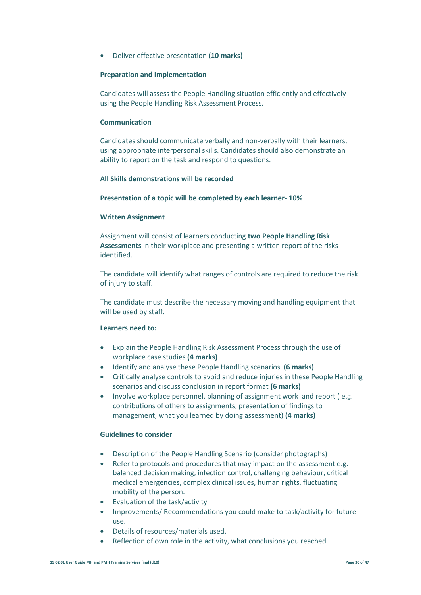#### **Preparation and Implementation**

Candidates will assess the People Handling situation efficiently and effectively using the People Handling Risk Assessment Process.

### **Communication**

Candidates should communicate verbally and non-verbally with their learners, using appropriate interpersonal skills. Candidates should also demonstrate an ability to report on the task and respond to questions.

### **All Skills demonstrations will be recorded**

### **Presentation of a topic will be completed by each learner- 10%**

### **Written Assignment**

Assignment will consist of learners conducting **two People Handling Risk Assessments** in their workplace and presenting a written report of the risks identified.

The candidate will identify what ranges of controls are required to reduce the risk of injury to staff.

The candidate must describe the necessary moving and handling equipment that will be used by staff.

### **Learners need to:**

- Explain the People Handling Risk Assessment Process through the use of workplace case studies **(4 marks)**
- Identify and analyse these People Handling scenarios **(6 marks)**
- Critically analyse controls to avoid and reduce injuries in these People Handling scenarios and discuss conclusion in report format **(6 marks)**
- Involve workplace personnel, planning of assignment work and report (e.g. contributions of others to assignments, presentation of findings to management, what you learned by doing assessment) **(4 marks)**

### **Guidelines to consider**

- Description of the People Handling Scenario (consider photographs)
- Refer to protocols and procedures that may impact on the assessment e.g. balanced decision making, infection control, challenging behaviour, critical medical emergencies, complex clinical issues, human rights, fluctuating mobility of the person.
- Evaluation of the task/activity
- Improvements/ Recommendations you could make to task/activity for future use.
- Details of resources/materials used.
- Reflection of own role in the activity, what conclusions you reached.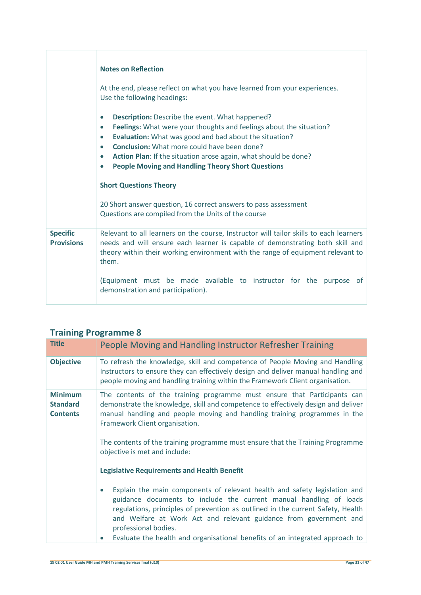|                                      | <b>Notes on Reflection</b><br>At the end, please reflect on what you have learned from your experiences.<br>Use the following headings:                                                                                                                                                                                                                                                                                                                                                                                                                                                                  |
|--------------------------------------|----------------------------------------------------------------------------------------------------------------------------------------------------------------------------------------------------------------------------------------------------------------------------------------------------------------------------------------------------------------------------------------------------------------------------------------------------------------------------------------------------------------------------------------------------------------------------------------------------------|
|                                      | <b>Description:</b> Describe the event. What happened?<br>$\bullet$<br>Feelings: What were your thoughts and feelings about the situation?<br>$\bullet$<br>Evaluation: What was good and bad about the situation?<br>$\bullet$<br><b>Conclusion:</b> What more could have been done?<br>$\bullet$<br>Action Plan: If the situation arose again, what should be done?<br>$\bullet$<br><b>People Moving and Handling Theory Short Questions</b><br><b>Short Questions Theory</b><br>20 Short answer question, 16 correct answers to pass assessment<br>Questions are compiled from the Units of the course |
|                                      |                                                                                                                                                                                                                                                                                                                                                                                                                                                                                                                                                                                                          |
| <b>Specific</b><br><b>Provisions</b> | Relevant to all learners on the course, Instructor will tailor skills to each learners<br>needs and will ensure each learner is capable of demonstrating both skill and<br>theory within their working environment with the range of equipment relevant to<br>them.                                                                                                                                                                                                                                                                                                                                      |
|                                      | (Equipment must be made available to instructor for the purpose<br>0t<br>demonstration and participation).                                                                                                                                                                                                                                                                                                                                                                                                                                                                                               |

| <b>Title</b>                                         | People Moving and Handling Instructor Refresher Training                                                                                                                                                                                                                                                                                                       |
|------------------------------------------------------|----------------------------------------------------------------------------------------------------------------------------------------------------------------------------------------------------------------------------------------------------------------------------------------------------------------------------------------------------------------|
| <b>Objective</b>                                     | To refresh the knowledge, skill and competence of People Moving and Handling<br>Instructors to ensure they can effectively design and deliver manual handling and<br>people moving and handling training within the Framework Client organisation.                                                                                                             |
| <b>Minimum</b><br><b>Standard</b><br><b>Contents</b> | The contents of the training programme must ensure that Participants can<br>demonstrate the knowledge, skill and competence to effectively design and deliver<br>manual handling and people moving and handling training programmes in the<br>Framework Client organisation.<br>The contents of the training programme must ensure that the Training Programme |
|                                                      | objective is met and include:<br><b>Legislative Requirements and Health Benefit</b>                                                                                                                                                                                                                                                                            |
|                                                      | Explain the main components of relevant health and safety legislation and<br>guidance documents to include the current manual handling of loads<br>regulations, principles of prevention as outlined in the current Safety, Health<br>and Welfare at Work Act and relevant guidance from government and<br>professional bodies.                                |
|                                                      | Evaluate the health and organisational benefits of an integrated approach to                                                                                                                                                                                                                                                                                   |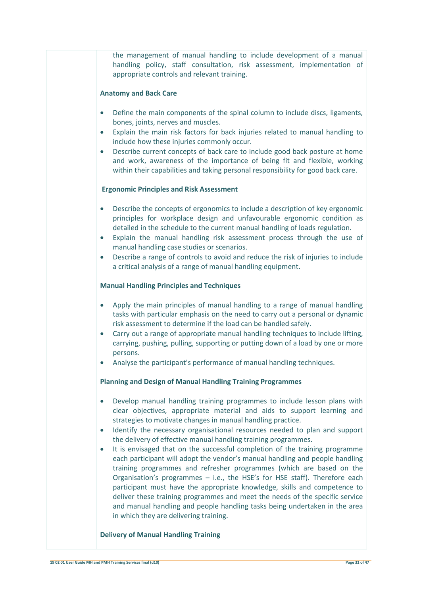the management of manual handling to include development of a manual handling policy, staff consultation, risk assessment, implementation of appropriate controls and relevant training.

#### **Anatomy and Back Care**

- Define the main components of the spinal column to include discs, ligaments, bones, joints, nerves and muscles.
- Explain the main risk factors for back injuries related to manual handling to include how these injuries commonly occur.
- Describe current concepts of back care to include good back posture at home and work, awareness of the importance of being fit and flexible, working within their capabilities and taking personal responsibility for good back care.

### **Ergonomic Principles and Risk Assessment**

- Describe the concepts of ergonomics to include a description of key ergonomic principles for workplace design and unfavourable ergonomic condition as detailed in the schedule to the current manual handling of loads regulation.
- Explain the manual handling risk assessment process through the use of manual handling case studies or scenarios.
- Describe a range of controls to avoid and reduce the risk of injuries to include a critical analysis of a range of manual handling equipment.

#### **Manual Handling Principles and Techniques**

- Apply the main principles of manual handling to a range of manual handling tasks with particular emphasis on the need to carry out a personal or dynamic risk assessment to determine if the load can be handled safely.
- Carry out a range of appropriate manual handling techniques to include lifting, carrying, pushing, pulling, supporting or putting down of a load by one or more persons.
- Analyse the participant's performance of manual handling techniques.

### **Planning and Design of Manual Handling Training Programmes**

- Develop manual handling training programmes to include lesson plans with clear objectives, appropriate material and aids to support learning and strategies to motivate changes in manual handling practice.
- Identify the necessary organisational resources needed to plan and support the delivery of effective manual handling training programmes.
- It is envisaged that on the successful completion of the training programme each participant will adopt the vendor's manual handling and people handling training programmes and refresher programmes (which are based on the Organisation's programmes – i.e., the HSE's for HSE staff). Therefore each participant must have the appropriate knowledge, skills and competence to deliver these training programmes and meet the needs of the specific service and manual handling and people handling tasks being undertaken in the area in which they are delivering training.

#### **Delivery of Manual Handling Training**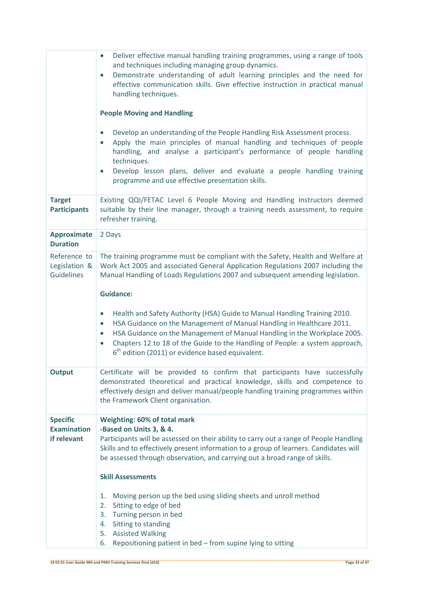|                                                    | Deliver effective manual handling training programmes, using a range of tools<br>$\bullet$<br>and techniques including managing group dynamics.<br>Demonstrate understanding of adult learning principles and the need for<br>$\bullet$<br>effective communication skills. Give effective instruction in practical manual<br>handling techniques.<br><b>People Moving and Handling</b><br>Develop an understanding of the People Handling Risk Assessment process.<br>$\bullet$<br>Apply the main principles of manual handling and techniques of people<br>handling, and analyse a participant's performance of people handling<br>techniques.<br>Develop lesson plans, deliver and evaluate a people handling training<br>$\bullet$<br>programme and use effective presentation skills. |
|----------------------------------------------------|-------------------------------------------------------------------------------------------------------------------------------------------------------------------------------------------------------------------------------------------------------------------------------------------------------------------------------------------------------------------------------------------------------------------------------------------------------------------------------------------------------------------------------------------------------------------------------------------------------------------------------------------------------------------------------------------------------------------------------------------------------------------------------------------|
| <b>Target</b><br><b>Participants</b>               | Existing QQI/FETAC Level 6 People Moving and Handling Instructors deemed<br>suitable by their line manager, through a training needs assessment, to require<br>refresher training.                                                                                                                                                                                                                                                                                                                                                                                                                                                                                                                                                                                                        |
| <b>Approximate</b><br><b>Duration</b>              | 2 Days                                                                                                                                                                                                                                                                                                                                                                                                                                                                                                                                                                                                                                                                                                                                                                                    |
| Reference to<br>Legislation &<br><b>Guidelines</b> | The training programme must be compliant with the Safety, Health and Welfare at<br>Work Act 2005 and associated General Application Regulations 2007 including the<br>Manual Handling of Loads Regulations 2007 and subsequent amending legislation.<br><b>Guidance:</b><br>Health and Safety Authority (HSA) Guide to Manual Handling Training 2010.<br>$\bullet$<br>HSA Guidance on the Management of Manual Handling in Healthcare 2011.<br>$\bullet$<br>HSA Guidance on the Management of Manual Handling in the Workplace 2005.<br>$\bullet$<br>Chapters 12 to 18 of the Guide to the Handling of People: a system approach,<br>$\bullet$<br>$6th$ edition (2011) or evidence based equivalent.                                                                                      |
| <b>Output</b>                                      | Certificate will be provided to confirm that participants have successfully<br>demonstrated theoretical and practical knowledge, skills and competence to<br>effectively design and deliver manual/people handling training programmes within<br>the Framework Client organisation.                                                                                                                                                                                                                                                                                                                                                                                                                                                                                                       |
| <b>Specific</b><br><b>Examination</b>              | Weighting: 60% of total mark                                                                                                                                                                                                                                                                                                                                                                                                                                                                                                                                                                                                                                                                                                                                                              |
| if relevant                                        | -Based on Units 3, & 4.<br>Participants will be assessed on their ability to carry out a range of People Handling<br>Skills and to effectively present information to a group of learners. Candidates will<br>be assessed through observation, and carrying out a broad range of skills.                                                                                                                                                                                                                                                                                                                                                                                                                                                                                                  |
|                                                    | <b>Skill Assessments</b>                                                                                                                                                                                                                                                                                                                                                                                                                                                                                                                                                                                                                                                                                                                                                                  |
|                                                    | Moving person up the bed using sliding sheets and unroll method<br>1.                                                                                                                                                                                                                                                                                                                                                                                                                                                                                                                                                                                                                                                                                                                     |
|                                                    | Sitting to edge of bed<br>2.<br>Turning person in bed<br>3.                                                                                                                                                                                                                                                                                                                                                                                                                                                                                                                                                                                                                                                                                                                               |
|                                                    | Sitting to standing<br>4.                                                                                                                                                                                                                                                                                                                                                                                                                                                                                                                                                                                                                                                                                                                                                                 |
|                                                    | <b>Assisted Walking</b><br>5.<br>Repositioning patient in bed - from supine lying to sitting<br>6.                                                                                                                                                                                                                                                                                                                                                                                                                                                                                                                                                                                                                                                                                        |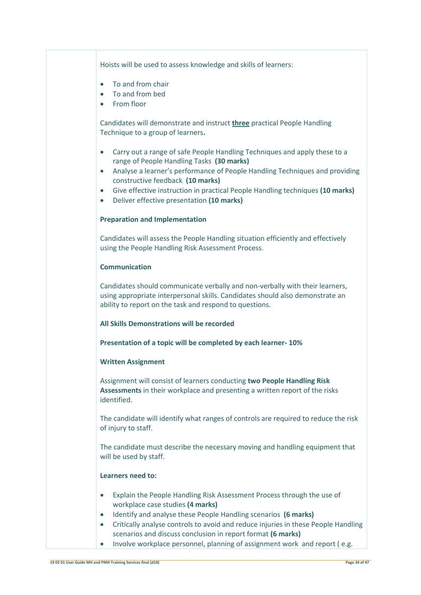Hoists will be used to assess knowledge and skills of learners:

- To and from chair
- To and from bed
- From floor

Candidates will demonstrate and instruct **three** practical People Handling Technique to a group of learners**.**

- Carry out a range of safe People Handling Techniques and apply these to a range of People Handling Tasks **(30 marks)**
- Analyse a learner's performance of People Handling Techniques and providing constructive feedback **(10 marks)**
- Give effective instruction in practical People Handling techniques **(10 marks)**
- Deliver effective presentation **(10 marks)**

#### **Preparation and Implementation**

Candidates will assess the People Handling situation efficiently and effectively using the People Handling Risk Assessment Process.

#### **Communication**

Candidates should communicate verbally and non-verbally with their learners, using appropriate interpersonal skills. Candidates should also demonstrate an ability to report on the task and respond to questions.

#### **All Skills Demonstrations will be recorded**

**Presentation of a topic will be completed by each learner- 10%**

### **Written Assignment**

Assignment will consist of learners conducting **two People Handling Risk Assessments** in their workplace and presenting a written report of the risks identified.

The candidate will identify what ranges of controls are required to reduce the risk of injury to staff.

The candidate must describe the necessary moving and handling equipment that will be used by staff.

### **Learners need to:**

- Explain the People Handling Risk Assessment Process through the use of workplace case studies **(4 marks)**
- Identify and analyse these People Handling scenarios **(6 marks)**
- Critically analyse controls to avoid and reduce injuries in these People Handling scenarios and discuss conclusion in report format **(6 marks)**
- Involve workplace personnel, planning of assignment work and report (e.g.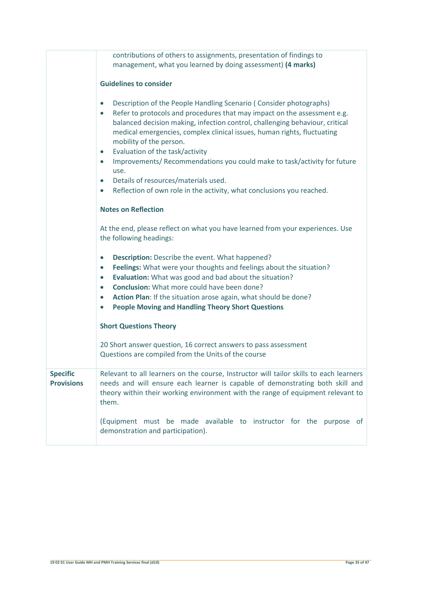|                                      | contributions of others to assignments, presentation of findings to<br>management, what you learned by doing assessment) (4 marks)<br><b>Guidelines to consider</b>                                                                                                                                                                                                                                                                                                                                                                                                                                                                                        |
|--------------------------------------|------------------------------------------------------------------------------------------------------------------------------------------------------------------------------------------------------------------------------------------------------------------------------------------------------------------------------------------------------------------------------------------------------------------------------------------------------------------------------------------------------------------------------------------------------------------------------------------------------------------------------------------------------------|
|                                      | Description of the People Handling Scenario (Consider photographs)<br>$\bullet$<br>Refer to protocols and procedures that may impact on the assessment e.g.<br>$\bullet$<br>balanced decision making, infection control, challenging behaviour, critical<br>medical emergencies, complex clinical issues, human rights, fluctuating<br>mobility of the person.<br>Evaluation of the task/activity<br>$\bullet$<br>Improvements/ Recommendations you could make to task/activity for future<br>$\bullet$<br>use.<br>Details of resources/materials used.<br>$\bullet$<br>Reflection of own role in the activity, what conclusions you reached.<br>$\bullet$ |
|                                      | <b>Notes on Reflection</b>                                                                                                                                                                                                                                                                                                                                                                                                                                                                                                                                                                                                                                 |
|                                      | At the end, please reflect on what you have learned from your experiences. Use<br>the following headings:                                                                                                                                                                                                                                                                                                                                                                                                                                                                                                                                                  |
|                                      | Description: Describe the event. What happened?<br>$\bullet$<br>Feelings: What were your thoughts and feelings about the situation?<br>$\bullet$<br>Evaluation: What was good and bad about the situation?<br>$\bullet$<br>Conclusion: What more could have been done?<br>$\bullet$<br>Action Plan: If the situation arose again, what should be done?<br>$\bullet$<br><b>People Moving and Handling Theory Short Questions</b><br>$\bullet$                                                                                                                                                                                                               |
|                                      | <b>Short Questions Theory</b>                                                                                                                                                                                                                                                                                                                                                                                                                                                                                                                                                                                                                              |
|                                      | 20 Short answer question, 16 correct answers to pass assessment<br>Questions are compiled from the Units of the course                                                                                                                                                                                                                                                                                                                                                                                                                                                                                                                                     |
| <b>Specific</b><br><b>Provisions</b> | Relevant to all learners on the course, Instructor will tailor skills to each learners<br>needs and will ensure each learner is capable of demonstrating both skill and<br>theory within their working environment with the range of equipment relevant to<br>them.                                                                                                                                                                                                                                                                                                                                                                                        |
|                                      | (Equipment must be made available to instructor for the purpose of<br>demonstration and participation).                                                                                                                                                                                                                                                                                                                                                                                                                                                                                                                                                    |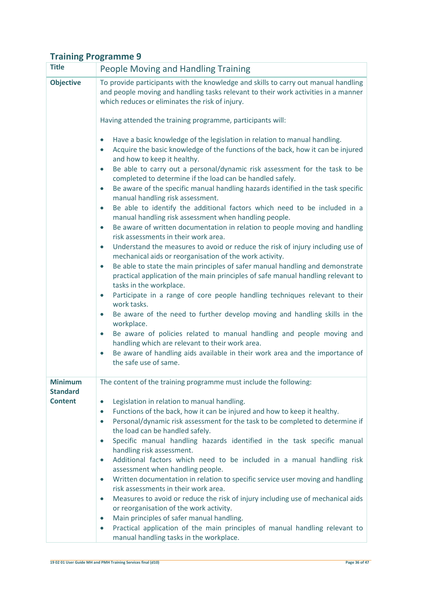| <b>Title</b>                      | <b>People Moving and Handling Training</b>                                                                                                                                                                                  |
|-----------------------------------|-----------------------------------------------------------------------------------------------------------------------------------------------------------------------------------------------------------------------------|
| <b>Objective</b>                  | To provide participants with the knowledge and skills to carry out manual handling<br>and people moving and handling tasks relevant to their work activities in a manner<br>which reduces or eliminates the risk of injury. |
|                                   | Having attended the training programme, participants will:                                                                                                                                                                  |
|                                   | Have a basic knowledge of the legislation in relation to manual handling.<br>$\bullet$<br>Acquire the basic knowledge of the functions of the back, how it can be injured<br>$\bullet$<br>and how to keep it healthy.       |
|                                   | Be able to carry out a personal/dynamic risk assessment for the task to be<br>$\bullet$<br>completed to determine if the load can be handled safely.                                                                        |
|                                   | Be aware of the specific manual handling hazards identified in the task specific<br>$\bullet$<br>manual handling risk assessment.                                                                                           |
|                                   | Be able to identify the additional factors which need to be included in a<br>$\bullet$<br>manual handling risk assessment when handling people.                                                                             |
|                                   | Be aware of written documentation in relation to people moving and handling<br>$\bullet$<br>risk assessments in their work area.                                                                                            |
|                                   | Understand the measures to avoid or reduce the risk of injury including use of<br>$\bullet$<br>mechanical aids or reorganisation of the work activity.                                                                      |
|                                   | Be able to state the main principles of safer manual handling and demonstrate<br>$\bullet$<br>practical application of the main principles of safe manual handling relevant to<br>tasks in the workplace.                   |
|                                   | Participate in a range of core people handling techniques relevant to their<br>$\bullet$<br>work tasks.                                                                                                                     |
|                                   | Be aware of the need to further develop moving and handling skills in the<br>$\bullet$<br>workplace.                                                                                                                        |
|                                   | Be aware of policies related to manual handling and people moving and<br>$\bullet$<br>handling which are relevant to their work area.                                                                                       |
|                                   | Be aware of handling aids available in their work area and the importance of<br>$\bullet$<br>the safe use of same.                                                                                                          |
| <b>Minimum</b><br><b>Standard</b> | The content of the training programme must include the following:                                                                                                                                                           |
| <b>Content</b>                    | Legislation in relation to manual handling.<br>$\bullet$                                                                                                                                                                    |
|                                   | Functions of the back, how it can be injured and how to keep it healthy.<br>$\bullet$                                                                                                                                       |
|                                   | Personal/dynamic risk assessment for the task to be completed to determine if<br>$\bullet$<br>the load can be handled safely.                                                                                               |
|                                   | Specific manual handling hazards identified in the task specific manual<br>$\bullet$<br>handling risk assessment.                                                                                                           |
|                                   | Additional factors which need to be included in a manual handling risk<br>$\bullet$                                                                                                                                         |
|                                   | assessment when handling people.<br>Written documentation in relation to specific service user moving and handling<br>$\bullet$                                                                                             |
|                                   | risk assessments in their work area.<br>Measures to avoid or reduce the risk of injury including use of mechanical aids<br>$\bullet$                                                                                        |
|                                   | or reorganisation of the work activity.                                                                                                                                                                                     |
|                                   | Main principles of safer manual handling.<br>$\bullet$                                                                                                                                                                      |
|                                   | Practical application of the main principles of manual handling relevant to<br>$\bullet$<br>manual handling tasks in the workplace.                                                                                         |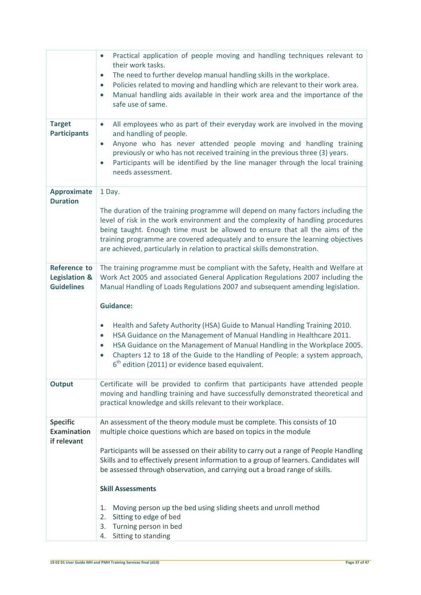| <b>Target</b>                                                        | Practical application of people moving and handling techniques relevant to<br>$\bullet$<br>their work tasks.<br>The need to further develop manual handling skills in the workplace.<br>$\bullet$<br>Policies related to moving and handling which are relevant to their work area.<br>$\bullet$<br>Manual handling aids available in their work area and the importance of the<br>$\bullet$<br>safe use of same.<br>All employees who as part of their everyday work are involved in the moving<br>$\bullet$ |
|----------------------------------------------------------------------|---------------------------------------------------------------------------------------------------------------------------------------------------------------------------------------------------------------------------------------------------------------------------------------------------------------------------------------------------------------------------------------------------------------------------------------------------------------------------------------------------------------|
| <b>Participants</b>                                                  | and handling of people.<br>Anyone who has never attended people moving and handling training<br>$\bullet$<br>previously or who has not received training in the previous three (3) years.<br>Participants will be identified by the line manager through the local training<br>$\bullet$<br>needs assessment.                                                                                                                                                                                                 |
| <b>Approximate</b><br><b>Duration</b>                                | 1 Day.                                                                                                                                                                                                                                                                                                                                                                                                                                                                                                        |
|                                                                      | The duration of the training programme will depend on many factors including the<br>level of risk in the work environment and the complexity of handling procedures<br>being taught. Enough time must be allowed to ensure that all the aims of the<br>training programme are covered adequately and to ensure the learning objectives<br>are achieved, particularly in relation to practical skills demonstration.                                                                                           |
| <b>Reference to</b><br><b>Legislation &amp;</b><br><b>Guidelines</b> | The training programme must be compliant with the Safety, Health and Welfare at<br>Work Act 2005 and associated General Application Regulations 2007 including the<br>Manual Handling of Loads Regulations 2007 and subsequent amending legislation.                                                                                                                                                                                                                                                          |
|                                                                      | <b>Guidance:</b>                                                                                                                                                                                                                                                                                                                                                                                                                                                                                              |
|                                                                      | Health and Safety Authority (HSA) Guide to Manual Handling Training 2010.<br>$\bullet$<br>HSA Guidance on the Management of Manual Handling in Healthcare 2011.<br>$\bullet$<br>HSA Guidance on the Management of Manual Handling in the Workplace 2005.<br>$\bullet$<br>Chapters 12 to 18 of the Guide to the Handling of People: a system approach,<br>$6th$ edition (2011) or evidence based equivalent.                                                                                                   |
| <b>Output</b>                                                        | Certificate will be provided to confirm that participants have attended people<br>moving and handling training and have successfully demonstrated theoretical and<br>practical knowledge and skills relevant to their workplace.                                                                                                                                                                                                                                                                              |
| <b>Specific</b><br><b>Examination</b><br>if relevant                 | An assessment of the theory module must be complete. This consists of 10<br>multiple choice questions which are based on topics in the module                                                                                                                                                                                                                                                                                                                                                                 |
|                                                                      | Participants will be assessed on their ability to carry out a range of People Handling<br>Skills and to effectively present information to a group of learners. Candidates will<br>be assessed through observation, and carrying out a broad range of skills.                                                                                                                                                                                                                                                 |
|                                                                      | <b>Skill Assessments</b>                                                                                                                                                                                                                                                                                                                                                                                                                                                                                      |
|                                                                      | Moving person up the bed using sliding sheets and unroll method<br>1.<br>Sitting to edge of bed<br>2.<br>Turning person in bed<br>3.<br>Sitting to standing<br>4.                                                                                                                                                                                                                                                                                                                                             |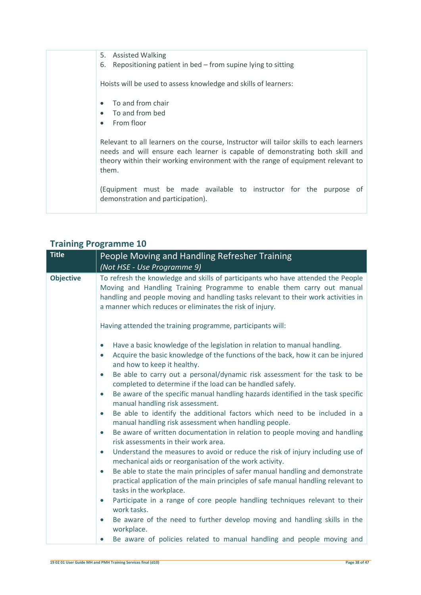| <b>Assisted Walking</b><br>5.<br>Repositioning patient in bed - from supine lying to sitting<br>6.                                                                                                                                                                  |
|---------------------------------------------------------------------------------------------------------------------------------------------------------------------------------------------------------------------------------------------------------------------|
| Hoists will be used to assess knowledge and skills of learners:                                                                                                                                                                                                     |
| To and from chair                                                                                                                                                                                                                                                   |
| To and from bed                                                                                                                                                                                                                                                     |
| From floor                                                                                                                                                                                                                                                          |
| Relevant to all learners on the course, Instructor will tailor skills to each learners<br>needs and will ensure each learner is capable of demonstrating both skill and<br>theory within their working environment with the range of equipment relevant to<br>them. |
| (Equipment must be made available to instructor for the purpose of<br>demonstration and participation).                                                                                                                                                             |

| <b>Title</b>     | People Moving and Handling Refresher Training<br>(Not HSE - Use Programme 9)                                                                                                                                                                                                                                 |
|------------------|--------------------------------------------------------------------------------------------------------------------------------------------------------------------------------------------------------------------------------------------------------------------------------------------------------------|
| <b>Objective</b> | To refresh the knowledge and skills of participants who have attended the People<br>Moving and Handling Training Programme to enable them carry out manual<br>handling and people moving and handling tasks relevant to their work activities in<br>a manner which reduces or eliminates the risk of injury. |
|                  | Having attended the training programme, participants will:                                                                                                                                                                                                                                                   |
|                  | Have a basic knowledge of the legislation in relation to manual handling.<br>$\bullet$<br>Acquire the basic knowledge of the functions of the back, how it can be injured<br>and how to keep it healthy.<br>Be able to carry out a personal/dynamic risk assessment for the task to be<br>$\bullet$          |
|                  | completed to determine if the load can be handled safely.<br>Be aware of the specific manual handling hazards identified in the task specific<br>$\bullet$<br>manual handling risk assessment.                                                                                                               |
|                  | Be able to identify the additional factors which need to be included in a<br>manual handling risk assessment when handling people.                                                                                                                                                                           |
|                  | Be aware of written documentation in relation to people moving and handling<br>$\bullet$<br>risk assessments in their work area.                                                                                                                                                                             |
|                  | Understand the measures to avoid or reduce the risk of injury including use of<br>$\bullet$<br>mechanical aids or reorganisation of the work activity.                                                                                                                                                       |
|                  | Be able to state the main principles of safer manual handling and demonstrate<br>$\bullet$<br>practical application of the main principles of safe manual handling relevant to<br>tasks in the workplace.                                                                                                    |
|                  | Participate in a range of core people handling techniques relevant to their<br>$\bullet$<br>work tasks.                                                                                                                                                                                                      |
|                  | Be aware of the need to further develop moving and handling skills in the<br>$\bullet$<br>workplace.                                                                                                                                                                                                         |

Be aware of policies related to manual handling and people moving and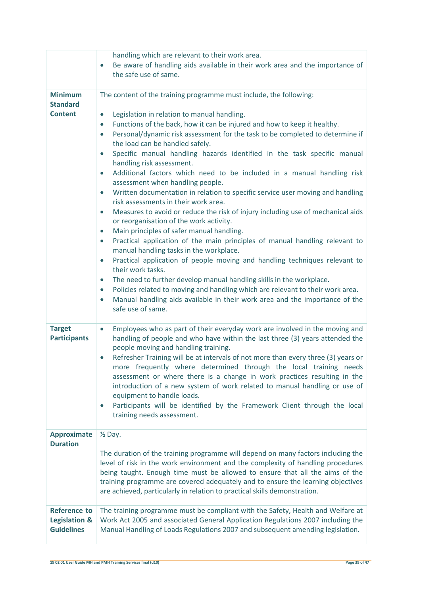|                                                                      | handling which are relevant to their work area.<br>Be aware of handling aids available in their work area and the importance of<br>$\bullet$<br>the safe use of same.                                                                                                                                                                                                                                                                                                                                                                                                                                                                                                                                                                                                                                                                                                                                                                                                                                                                                                                                                                                                                                                                                                                                                                                                                                                                                                                  |
|----------------------------------------------------------------------|----------------------------------------------------------------------------------------------------------------------------------------------------------------------------------------------------------------------------------------------------------------------------------------------------------------------------------------------------------------------------------------------------------------------------------------------------------------------------------------------------------------------------------------------------------------------------------------------------------------------------------------------------------------------------------------------------------------------------------------------------------------------------------------------------------------------------------------------------------------------------------------------------------------------------------------------------------------------------------------------------------------------------------------------------------------------------------------------------------------------------------------------------------------------------------------------------------------------------------------------------------------------------------------------------------------------------------------------------------------------------------------------------------------------------------------------------------------------------------------|
| <b>Minimum</b><br><b>Standard</b><br><b>Content</b>                  | The content of the training programme must include, the following:<br>Legislation in relation to manual handling.<br>Functions of the back, how it can be injured and how to keep it healthy.<br>$\bullet$<br>Personal/dynamic risk assessment for the task to be completed to determine if<br>$\bullet$<br>the load can be handled safely.<br>Specific manual handling hazards identified in the task specific manual<br>$\bullet$<br>handling risk assessment.<br>Additional factors which need to be included in a manual handling risk<br>assessment when handling people.<br>Written documentation in relation to specific service user moving and handling<br>$\bullet$<br>risk assessments in their work area.<br>Measures to avoid or reduce the risk of injury including use of mechanical aids<br>$\bullet$<br>or reorganisation of the work activity.<br>Main principles of safer manual handling.<br>$\bullet$<br>Practical application of the main principles of manual handling relevant to<br>$\bullet$<br>manual handling tasks in the workplace.<br>Practical application of people moving and handling techniques relevant to<br>$\bullet$<br>their work tasks.<br>The need to further develop manual handling skills in the workplace.<br>$\bullet$<br>Policies related to moving and handling which are relevant to their work area.<br>$\bullet$<br>Manual handling aids available in their work area and the importance of the<br>$\bullet$<br>safe use of same. |
| <b>Target</b><br><b>Participants</b>                                 | Employees who as part of their everyday work are involved in the moving and<br>$\bullet$<br>handling of people and who have within the last three (3) years attended the<br>people moving and handling training.<br>Refresher Training will be at intervals of not more than every three (3) years or<br>$\bullet$<br>more frequently where determined through the local training needs<br>assessment or where there is a change in work practices resulting in the<br>introduction of a new system of work related to manual handling or use of<br>equipment to handle loads.<br>Participants will be identified by the Framework Client through the local<br>training needs assessment.                                                                                                                                                                                                                                                                                                                                                                                                                                                                                                                                                                                                                                                                                                                                                                                              |
| <b>Approximate</b><br><b>Duration</b>                                | $\frac{1}{2}$ Day.<br>The duration of the training programme will depend on many factors including the<br>level of risk in the work environment and the complexity of handling procedures<br>being taught. Enough time must be allowed to ensure that all the aims of the<br>training programme are covered adequately and to ensure the learning objectives<br>are achieved, particularly in relation to practical skills demonstration.                                                                                                                                                                                                                                                                                                                                                                                                                                                                                                                                                                                                                                                                                                                                                                                                                                                                                                                                                                                                                                              |
| <b>Reference to</b><br><b>Legislation &amp;</b><br><b>Guidelines</b> | The training programme must be compliant with the Safety, Health and Welfare at<br>Work Act 2005 and associated General Application Regulations 2007 including the<br>Manual Handling of Loads Regulations 2007 and subsequent amending legislation.                                                                                                                                                                                                                                                                                                                                                                                                                                                                                                                                                                                                                                                                                                                                                                                                                                                                                                                                                                                                                                                                                                                                                                                                                                   |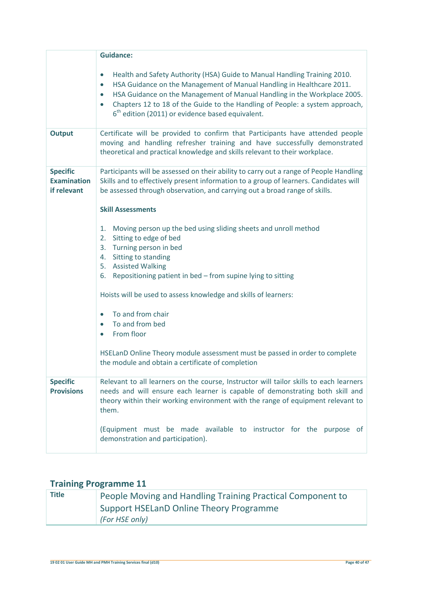|                                                      | <b>Guidance:</b>                                                                                                                                                                                                                                                                                                                                                                                                                                                                                                                                                                                                                                                                                                                                                                                                                                            |
|------------------------------------------------------|-------------------------------------------------------------------------------------------------------------------------------------------------------------------------------------------------------------------------------------------------------------------------------------------------------------------------------------------------------------------------------------------------------------------------------------------------------------------------------------------------------------------------------------------------------------------------------------------------------------------------------------------------------------------------------------------------------------------------------------------------------------------------------------------------------------------------------------------------------------|
|                                                      | Health and Safety Authority (HSA) Guide to Manual Handling Training 2010.<br>$\bullet$<br>HSA Guidance on the Management of Manual Handling in Healthcare 2011.<br>$\bullet$<br>HSA Guidance on the Management of Manual Handling in the Workplace 2005.<br>$\bullet$<br>Chapters 12 to 18 of the Guide to the Handling of People: a system approach,<br>$6th$ edition (2011) or evidence based equivalent.                                                                                                                                                                                                                                                                                                                                                                                                                                                 |
| <b>Output</b>                                        | Certificate will be provided to confirm that Participants have attended people<br>moving and handling refresher training and have successfully demonstrated<br>theoretical and practical knowledge and skills relevant to their workplace.                                                                                                                                                                                                                                                                                                                                                                                                                                                                                                                                                                                                                  |
| <b>Specific</b><br><b>Examination</b><br>if relevant | Participants will be assessed on their ability to carry out a range of People Handling<br>Skills and to effectively present information to a group of learners. Candidates will<br>be assessed through observation, and carrying out a broad range of skills.<br><b>Skill Assessments</b><br>Moving person up the bed using sliding sheets and unroll method<br>1.<br>Sitting to edge of bed<br>2.<br>Turning person in bed<br>3.<br>Sitting to standing<br>4.<br>5. Assisted Walking<br>6. Repositioning patient in bed - from supine lying to sitting<br>Hoists will be used to assess knowledge and skills of learners:<br>To and from chair<br>$\bullet$<br>To and from bed<br>$\bullet$<br>From floor<br>$\bullet$<br>HSELanD Online Theory module assessment must be passed in order to complete<br>the module and obtain a certificate of completion |
| <b>Specific</b><br><b>Provisions</b>                 | Relevant to all learners on the course, Instructor will tailor skills to each learners<br>needs and will ensure each learner is capable of demonstrating both skill and<br>theory within their working environment with the range of equipment relevant to<br>them.<br>(Equipment must be made available to instructor for the purpose<br>0t<br>demonstration and participation).                                                                                                                                                                                                                                                                                                                                                                                                                                                                           |

| <b>Title</b> | People Moving and Handling Training Practical Component to |
|--------------|------------------------------------------------------------|
|              | Support HSELanD Online Theory Programme                    |
|              | (For HSE only)                                             |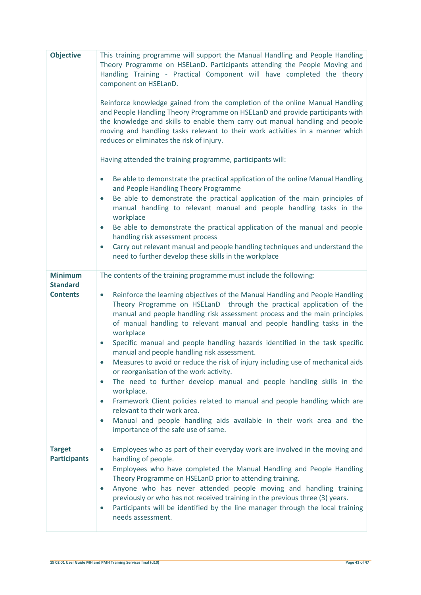| <b>Objective</b>                                     | This training programme will support the Manual Handling and People Handling<br>Theory Programme on HSELanD. Participants attending the People Moving and<br>Handling Training - Practical Component will have completed the theory<br>component on HSELanD.<br>Reinforce knowledge gained from the completion of the online Manual Handling<br>and People Handling Theory Programme on HSELanD and provide participants with<br>the knowledge and skills to enable them carry out manual handling and people<br>moving and handling tasks relevant to their work activities in a manner which<br>reduces or eliminates the risk of injury.<br>Having attended the training programme, participants will:<br>Be able to demonstrate the practical application of the online Manual Handling<br>$\bullet$<br>and People Handling Theory Programme<br>Be able to demonstrate the practical application of the main principles of<br>$\bullet$<br>manual handling to relevant manual and people handling tasks in the<br>workplace<br>Be able to demonstrate the practical application of the manual and people<br>handling risk assessment process<br>Carry out relevant manual and people handling techniques and understand the<br>$\bullet$<br>need to further develop these skills in the workplace |
|------------------------------------------------------|-------------------------------------------------------------------------------------------------------------------------------------------------------------------------------------------------------------------------------------------------------------------------------------------------------------------------------------------------------------------------------------------------------------------------------------------------------------------------------------------------------------------------------------------------------------------------------------------------------------------------------------------------------------------------------------------------------------------------------------------------------------------------------------------------------------------------------------------------------------------------------------------------------------------------------------------------------------------------------------------------------------------------------------------------------------------------------------------------------------------------------------------------------------------------------------------------------------------------------------------------------------------------------------------------------|
| <b>Minimum</b><br><b>Standard</b><br><b>Contents</b> | The contents of the training programme must include the following:<br>Reinforce the learning objectives of the Manual Handling and People Handling<br>$\bullet$<br>Theory Programme on HSELanD through the practical application of the<br>manual and people handling risk assessment process and the main principles<br>of manual handling to relevant manual and people handling tasks in the<br>workplace<br>Specific manual and people handling hazards identified in the task specific<br>$\bullet$<br>manual and people handling risk assessment.<br>Measures to avoid or reduce the risk of injury including use of mechanical aids<br>or reorganisation of the work activity.<br>The need to further develop manual and people handling skills in the<br>$\bullet$<br>workplace.<br>Framework Client policies related to manual and people handling which are<br>$\bullet$<br>relevant to their work area.<br>Manual and people handling aids available in their work area and the<br>$\bullet$<br>importance of the safe use of same.                                                                                                                                                                                                                                                        |
| <b>Target</b><br><b>Participants</b>                 | Employees who as part of their everyday work are involved in the moving and<br>$\bullet$<br>handling of people.<br>Employees who have completed the Manual Handling and People Handling<br>$\bullet$<br>Theory Programme on HSELanD prior to attending training.<br>Anyone who has never attended people moving and handling training<br>$\bullet$<br>previously or who has not received training in the previous three (3) years.<br>Participants will be identified by the line manager through the local training<br>$\bullet$<br>needs assessment.                                                                                                                                                                                                                                                                                                                                                                                                                                                                                                                                                                                                                                                                                                                                                |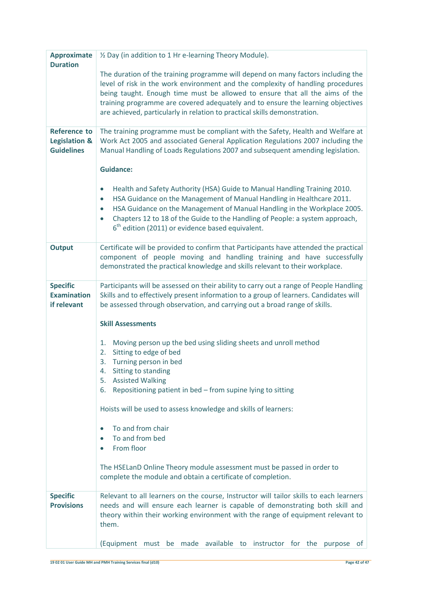| <b>Approximate</b>                                        | 1/2 Day (in addition to 1 Hr e-learning Theory Module).                                                                                                                                                                                                                                                                                                                                                                  |
|-----------------------------------------------------------|--------------------------------------------------------------------------------------------------------------------------------------------------------------------------------------------------------------------------------------------------------------------------------------------------------------------------------------------------------------------------------------------------------------------------|
| <b>Duration</b>                                           | The duration of the training programme will depend on many factors including the<br>level of risk in the work environment and the complexity of handling procedures<br>being taught. Enough time must be allowed to ensure that all the aims of the<br>training programme are covered adequately and to ensure the learning objectives<br>are achieved, particularly in relation to practical skills demonstration.      |
| <b>Reference to</b><br>Legislation &<br><b>Guidelines</b> | The training programme must be compliant with the Safety, Health and Welfare at<br>Work Act 2005 and associated General Application Regulations 2007 including the<br>Manual Handling of Loads Regulations 2007 and subsequent amending legislation.                                                                                                                                                                     |
|                                                           | <b>Guidance:</b>                                                                                                                                                                                                                                                                                                                                                                                                         |
|                                                           | Health and Safety Authority (HSA) Guide to Manual Handling Training 2010.<br>$\bullet$<br>HSA Guidance on the Management of Manual Handling in Healthcare 2011.<br>$\bullet$<br>HSA Guidance on the Management of Manual Handling in the Workplace 2005.<br>$\bullet$<br>Chapters 12 to 18 of the Guide to the Handling of People: a system approach,<br>$\bullet$<br>$6th$ edition (2011) or evidence based equivalent. |
| <b>Output</b>                                             | Certificate will be provided to confirm that Participants have attended the practical<br>component of people moving and handling training and have successfully<br>demonstrated the practical knowledge and skills relevant to their workplace.                                                                                                                                                                          |
| <b>Specific</b><br><b>Examination</b><br>if relevant      | Participants will be assessed on their ability to carry out a range of People Handling<br>Skills and to effectively present information to a group of learners. Candidates will<br>be assessed through observation, and carrying out a broad range of skills.                                                                                                                                                            |
|                                                           | <b>Skill Assessments</b>                                                                                                                                                                                                                                                                                                                                                                                                 |
|                                                           | Moving person up the bed using sliding sheets and unroll method<br>1.<br>Sitting to edge of bed<br>2.<br>Turning person in bed<br>3.<br>Sitting to standing<br>4.                                                                                                                                                                                                                                                        |
|                                                           | <b>Assisted Walking</b><br>5.<br>Repositioning patient in bed - from supine lying to sitting<br>6.                                                                                                                                                                                                                                                                                                                       |
|                                                           | Hoists will be used to assess knowledge and skills of learners:                                                                                                                                                                                                                                                                                                                                                          |
|                                                           | To and from chair<br>$\bullet$<br>To and from bed                                                                                                                                                                                                                                                                                                                                                                        |
|                                                           | From floor<br>$\bullet$                                                                                                                                                                                                                                                                                                                                                                                                  |
|                                                           | The HSELanD Online Theory module assessment must be passed in order to<br>complete the module and obtain a certificate of completion.                                                                                                                                                                                                                                                                                    |
| <b>Specific</b><br><b>Provisions</b>                      | Relevant to all learners on the course, Instructor will tailor skills to each learners<br>needs and will ensure each learner is capable of demonstrating both skill and<br>theory within their working environment with the range of equipment relevant to<br>them.                                                                                                                                                      |
|                                                           | (Equipment must be made available to instructor for the<br>purpose of                                                                                                                                                                                                                                                                                                                                                    |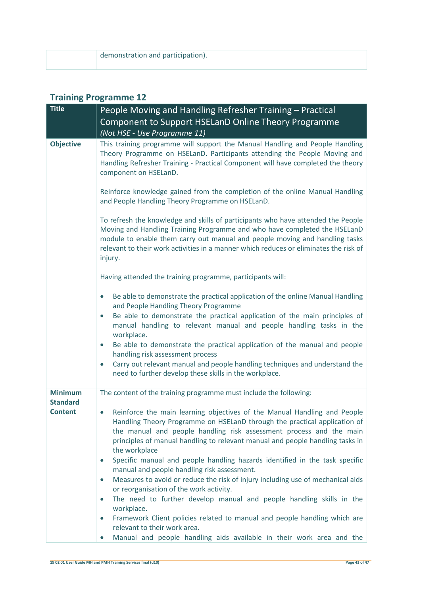| demonstration and participation). |
|-----------------------------------|
|                                   |
|                                   |

| <b>Title</b>                      | People Moving and Handling Refresher Training - Practical                                                                                                                                                                                                                                                                                                                                                                                                                                                                                                                                                                                                                                                                                                                                                                                                      |
|-----------------------------------|----------------------------------------------------------------------------------------------------------------------------------------------------------------------------------------------------------------------------------------------------------------------------------------------------------------------------------------------------------------------------------------------------------------------------------------------------------------------------------------------------------------------------------------------------------------------------------------------------------------------------------------------------------------------------------------------------------------------------------------------------------------------------------------------------------------------------------------------------------------|
|                                   | Component to Support HSELanD Online Theory Programme                                                                                                                                                                                                                                                                                                                                                                                                                                                                                                                                                                                                                                                                                                                                                                                                           |
|                                   | (Not HSE - Use Programme 11)                                                                                                                                                                                                                                                                                                                                                                                                                                                                                                                                                                                                                                                                                                                                                                                                                                   |
| <b>Objective</b>                  | This training programme will support the Manual Handling and People Handling<br>Theory Programme on HSELanD. Participants attending the People Moving and<br>Handling Refresher Training - Practical Component will have completed the theory<br>component on HSELanD.                                                                                                                                                                                                                                                                                                                                                                                                                                                                                                                                                                                         |
|                                   | Reinforce knowledge gained from the completion of the online Manual Handling<br>and People Handling Theory Programme on HSELanD.                                                                                                                                                                                                                                                                                                                                                                                                                                                                                                                                                                                                                                                                                                                               |
|                                   | To refresh the knowledge and skills of participants who have attended the People<br>Moving and Handling Training Programme and who have completed the HSELanD<br>module to enable them carry out manual and people moving and handling tasks<br>relevant to their work activities in a manner which reduces or eliminates the risk of<br>injury.                                                                                                                                                                                                                                                                                                                                                                                                                                                                                                               |
|                                   | Having attended the training programme, participants will:                                                                                                                                                                                                                                                                                                                                                                                                                                                                                                                                                                                                                                                                                                                                                                                                     |
|                                   | Be able to demonstrate the practical application of the online Manual Handling<br>$\bullet$<br>and People Handling Theory Programme<br>Be able to demonstrate the practical application of the main principles of<br>$\bullet$<br>manual handling to relevant manual and people handling tasks in the<br>workplace.<br>Be able to demonstrate the practical application of the manual and people<br>$\bullet$<br>handling risk assessment process<br>Carry out relevant manual and people handling techniques and understand the<br>$\bullet$<br>need to further develop these skills in the workplace.                                                                                                                                                                                                                                                        |
| <b>Minimum</b>                    | The content of the training programme must include the following:                                                                                                                                                                                                                                                                                                                                                                                                                                                                                                                                                                                                                                                                                                                                                                                              |
| <b>Standard</b><br><b>Content</b> | Reinforce the main learning objectives of the Manual Handling and People<br>$\bullet$<br>Handling Theory Programme on HSELanD through the practical application of<br>the manual and people handling risk assessment process and the main<br>principles of manual handling to relevant manual and people handling tasks in<br>the workplace<br>Specific manual and people handling hazards identified in the task specific<br>$\bullet$<br>manual and people handling risk assessment.<br>Measures to avoid or reduce the risk of injury including use of mechanical aids<br>$\bullet$<br>or reorganisation of the work activity.<br>The need to further develop manual and people handling skills in the<br>$\bullet$<br>workplace.<br>Framework Client policies related to manual and people handling which are<br>$\bullet$<br>relevant to their work area. |
|                                   | Manual and people handling aids available in their work area and the<br>$\bullet$                                                                                                                                                                                                                                                                                                                                                                                                                                                                                                                                                                                                                                                                                                                                                                              |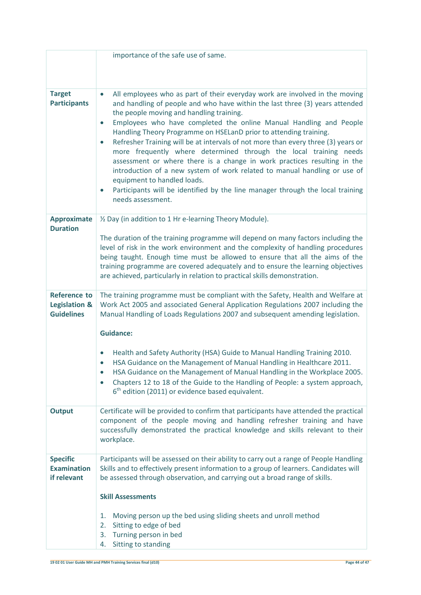|                                               | importance of the safe use of same.                                                                                                                                                                                                                                                                                                                                                                                                                                                                                                                                                                                                                                                                                                                                                                                                                             |
|-----------------------------------------------|-----------------------------------------------------------------------------------------------------------------------------------------------------------------------------------------------------------------------------------------------------------------------------------------------------------------------------------------------------------------------------------------------------------------------------------------------------------------------------------------------------------------------------------------------------------------------------------------------------------------------------------------------------------------------------------------------------------------------------------------------------------------------------------------------------------------------------------------------------------------|
|                                               |                                                                                                                                                                                                                                                                                                                                                                                                                                                                                                                                                                                                                                                                                                                                                                                                                                                                 |
|                                               |                                                                                                                                                                                                                                                                                                                                                                                                                                                                                                                                                                                                                                                                                                                                                                                                                                                                 |
| <b>Target</b><br><b>Participants</b>          | All employees who as part of their everyday work are involved in the moving<br>$\bullet$<br>and handling of people and who have within the last three (3) years attended<br>the people moving and handling training.<br>Employees who have completed the online Manual Handling and People<br>$\bullet$<br>Handling Theory Programme on HSELanD prior to attending training.<br>Refresher Training will be at intervals of not more than every three (3) years or<br>$\bullet$<br>more frequently where determined through the local training needs<br>assessment or where there is a change in work practices resulting in the<br>introduction of a new system of work related to manual handling or use of<br>equipment to handled loads.<br>Participants will be identified by the line manager through the local training<br>$\bullet$<br>needs assessment. |
| <b>Approximate</b><br><b>Duration</b>         | 1/2 Day (in addition to 1 Hr e-learning Theory Module).                                                                                                                                                                                                                                                                                                                                                                                                                                                                                                                                                                                                                                                                                                                                                                                                         |
|                                               | The duration of the training programme will depend on many factors including the<br>level of risk in the work environment and the complexity of handling procedures<br>being taught. Enough time must be allowed to ensure that all the aims of the<br>training programme are covered adequately and to ensure the learning objectives<br>are achieved, particularly in relation to practical skills demonstration.                                                                                                                                                                                                                                                                                                                                                                                                                                             |
| <b>Reference to</b>                           | The training programme must be compliant with the Safety, Health and Welfare at                                                                                                                                                                                                                                                                                                                                                                                                                                                                                                                                                                                                                                                                                                                                                                                 |
| <b>Legislation &amp;</b><br><b>Guidelines</b> | Work Act 2005 and associated General Application Regulations 2007 including the<br>Manual Handling of Loads Regulations 2007 and subsequent amending legislation.                                                                                                                                                                                                                                                                                                                                                                                                                                                                                                                                                                                                                                                                                               |
|                                               |                                                                                                                                                                                                                                                                                                                                                                                                                                                                                                                                                                                                                                                                                                                                                                                                                                                                 |
|                                               | <b>Guidance:</b>                                                                                                                                                                                                                                                                                                                                                                                                                                                                                                                                                                                                                                                                                                                                                                                                                                                |
|                                               | Health and Safety Authority (HSA) Guide to Manual Handling Training 2010.<br>HSA Guidance on the Management of Manual Handling in Healthcare 2011.<br>HSA Guidance on the Management of Manual Handling in the Workplace 2005.<br>$\bullet$<br>Chapters 12 to 18 of the Guide to the Handling of People: a system approach,<br>$\bullet$<br>$6th$ edition (2011) or evidence based equivalent.                                                                                                                                                                                                                                                                                                                                                                                                                                                                  |
| <b>Output</b>                                 | Certificate will be provided to confirm that participants have attended the practical<br>component of the people moving and handling refresher training and have<br>successfully demonstrated the practical knowledge and skills relevant to their<br>workplace.                                                                                                                                                                                                                                                                                                                                                                                                                                                                                                                                                                                                |
| <b>Specific</b><br><b>Examination</b>         | Participants will be assessed on their ability to carry out a range of People Handling                                                                                                                                                                                                                                                                                                                                                                                                                                                                                                                                                                                                                                                                                                                                                                          |
| if relevant                                   | Skills and to effectively present information to a group of learners. Candidates will<br>be assessed through observation, and carrying out a broad range of skills.                                                                                                                                                                                                                                                                                                                                                                                                                                                                                                                                                                                                                                                                                             |
|                                               | <b>Skill Assessments</b>                                                                                                                                                                                                                                                                                                                                                                                                                                                                                                                                                                                                                                                                                                                                                                                                                                        |
|                                               | Moving person up the bed using sliding sheets and unroll method<br>1.                                                                                                                                                                                                                                                                                                                                                                                                                                                                                                                                                                                                                                                                                                                                                                                           |
|                                               | Sitting to edge of bed<br>2.                                                                                                                                                                                                                                                                                                                                                                                                                                                                                                                                                                                                                                                                                                                                                                                                                                    |
|                                               | Turning person in bed<br>3.<br>Sitting to standing<br>4.                                                                                                                                                                                                                                                                                                                                                                                                                                                                                                                                                                                                                                                                                                                                                                                                        |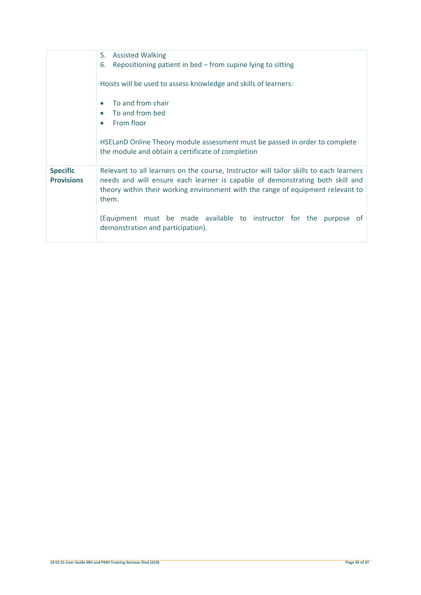|                                      | 5. Assisted Walking                                                                                                                                                                                                                                                 |
|--------------------------------------|---------------------------------------------------------------------------------------------------------------------------------------------------------------------------------------------------------------------------------------------------------------------|
|                                      | Repositioning patient in bed $-$ from supine lying to sitting<br>6.                                                                                                                                                                                                 |
|                                      | Hoists will be used to assess knowledge and skills of learners:                                                                                                                                                                                                     |
|                                      | To and from chair                                                                                                                                                                                                                                                   |
|                                      | To and from bed<br>$\bullet$<br>From floor<br>$\bullet$                                                                                                                                                                                                             |
|                                      | HSELanD Online Theory module assessment must be passed in order to complete<br>the module and obtain a certificate of completion                                                                                                                                    |
|                                      |                                                                                                                                                                                                                                                                     |
| <b>Specific</b><br><b>Provisions</b> | Relevant to all learners on the course, Instructor will tailor skills to each learners<br>needs and will ensure each learner is capable of demonstrating both skill and<br>theory within their working environment with the range of equipment relevant to<br>them. |
|                                      | (Equipment must be made available to instructor for the purpose<br>ot.<br>demonstration and participation).                                                                                                                                                         |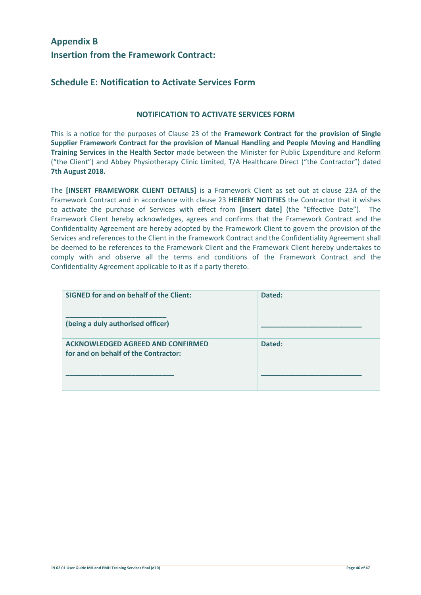# **Appendix B Insertion from the Framework Contract:**

# **Schedule E: Notification to Activate Services Form**

### **NOTIFICATION TO ACTIVATE SERVICES FORM**

This is a notice for the purposes of Clause 23 of the **Framework Contract for the provision of Single Supplier Framework Contract for the provision of Manual Handling and People Moving and Handling Training Services in the Health Sector** made between the Minister for Public Expenditure and Reform ("the Client") and Abbey Physiotherapy Clinic Limited, T/A Healthcare Direct ("the Contractor") dated **7th August 2018.** 

The **[INSERT FRAMEWORK CLIENT DETAILS]** is a Framework Client as set out at clause 23A of the Framework Contract and in accordance with clause 23 **HEREBY NOTIFIES** the Contractor that it wishes to activate the purchase of Services with effect from **[insert date]** (the "Effective Date"). The Framework Client hereby acknowledges, agrees and confirms that the Framework Contract and the Confidentiality Agreement are hereby adopted by the Framework Client to govern the provision of the Services and references to the Client in the Framework Contract and the Confidentiality Agreement shall be deemed to be references to the Framework Client and the Framework Client hereby undertakes to comply with and observe all the terms and conditions of the Framework Contract and the Confidentiality Agreement applicable to it as if a party thereto.

| <b>SIGNED for and on behalf of the Client:</b>                                   | Dated: |
|----------------------------------------------------------------------------------|--------|
| (being a duly authorised officer)                                                |        |
| <b>ACKNOWLEDGED AGREED AND CONFIRMED</b><br>for and on behalf of the Contractor: | Dated: |